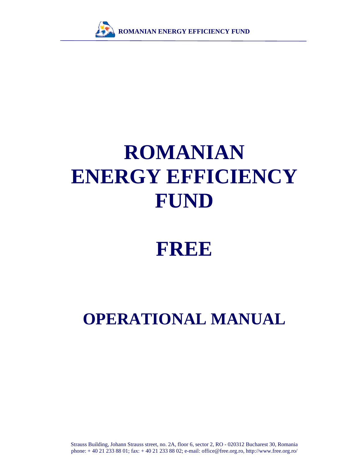

# **ROMANIAN ENERGY EFFICIENCY FUND**

# **FREE**

# **OPERATIONAL MANUAL**

Strauss Building, Johann Strauss street, no. 2A, floor 6, sector 2, RO - 020312 Bucharest 30, Romania phone: + 40 21 233 88 01; fax: + 40 21 233 88 02; e-mail: office@free.org.ro, http://www.free.org.ro/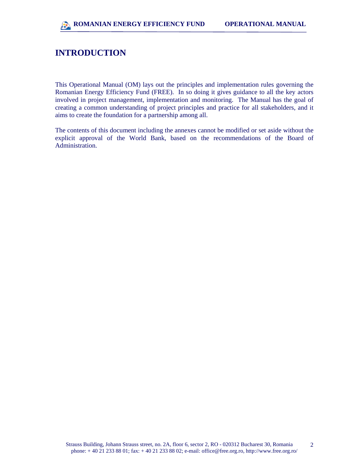# **INTRODUCTION**

This Operational Manual (OM) lays out the principles and implementation rules governing the Romanian Energy Efficiency Fund (FREE). In so doing it gives guidance to all the key actors involved in project management, implementation and monitoring. The Manual has the goal of creating a common understanding of project principles and practice for all stakeholders, and it aims to create the foundation for a partnership among all.

The contents of this document including the annexes cannot be modified or set aside without the explicit approval of the World Bank, based on the recommendations of the Board of Administration.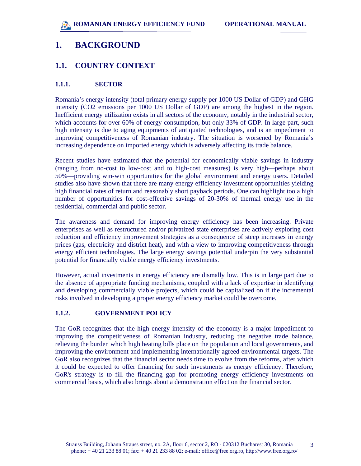# **1. BACKGROUND**

## **1.1. COUNTRY CONTEXT**

## **1.1.1. SECTOR**

Romania's energy intensity (total primary energy supply per 1000 US Dollar of GDP) and GHG intensity (CO2 emissions per 1000 US Dollar of GDP) are among the highest in the region. Inefficient energy utilization exists in all sectors of the economy, notably in the industrial sector, which accounts for over 60% of energy consumption, but only 33% of GDP. In large part, such high intensity is due to aging equipments of antiquated technologies, and is an impediment to improving competitiveness of Romanian industry. The situation is worsened by Romania's increasing dependence on imported energy which is adversely affecting its trade balance.

Recent studies have estimated that the potential for economically viable savings in industry (ranging from no-cost to low-cost and to high-cost measures) is very high—perhaps about 50%—providing win-win opportunities for the global environment and energy users. Detailed studies also have shown that there are many energy efficiency investment opportunities yielding high financial rates of return and reasonably short payback periods. One can highlight too a high number of opportunities for cost-effective savings of 20-30% of thermal energy use in the residential, commercial and public sector.

The awareness and demand for improving energy efficiency has been increasing. Private enterprises as well as restructured and/or privatized state enterprises are actively exploring cost reduction and efficiency improvement strategies as a consequence of steep increases in energy prices (gas, electricity and district heat), and with a view to improving competitiveness through energy efficient technologies. The large energy savings potential underpin the very substantial potential for financially viable energy efficiency investments.

However, actual investments in energy efficiency are dismally low. This is in large part due to the absence of appropriate funding mechanisms, coupled with a lack of expertise in identifying and developing commercially viable projects, which could be capitalized on if the incremental risks involved in developing a proper energy efficiency market could be overcome.

## **1.1.2. GOVERNMENT POLICY**

The GoR recognizes that the high energy intensity of the economy is a major impediment to improving the competitiveness of Romanian industry, reducing the negative trade balance, relieving the burden which high heating bills place on the population and local governments, and improving the environment and implementing internationally agreed environmental targets. The GoR also recognizes that the financial sector needs time to evolve from the reforms, after which it could be expected to offer financing for such investments as energy efficiency. Therefore, GoR's strategy is to fill the financing gap for promoting energy efficiency investments on commercial basis, which also brings about a demonstration effect on the financial sector.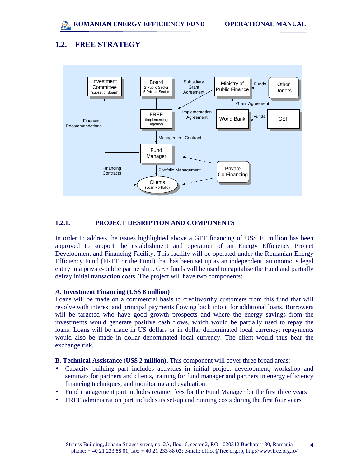# **1.2. FREE STRATEGY**



## **1.2.1. PROJECT DESRIPTION AND COMPONENTS**

In order to address the issues highlighted above a GEF financing of US\$ 10 million has been approved to support the establishment and operation of an Energy Efficiency Project Development and Financing Facility. This facility will be operated under the Romanian Energy Efficiency Fund (FREE or the Fund) that has been set up as an independent, autonomous legal entity in a private-public partnership. GEF funds will be used to capitalise the Fund and partially defray initial transaction costs. The project will have two components:

#### **A. Investment Financing (US\$ 8 million)**

Loans will be made on a commercial basis to creditworthy customers from this fund that will revolve with interest and principal payments flowing back into it for additional loans. Borrowers will be targeted who have good growth prospects and where the energy savings from the investments would generate positive cash flows, which would be partially used to repay the loans. Loans will be made in US dollars or in dollar denominated local currency; repayments would also be made in dollar denominated local currency. The client would thus bear the exchange risk.

**B. Technical Assistance (US\$ 2 million).** This component will cover three broad areas:

- Capacity building part includes activities in initial project development, workshop and seminars for partners and clients, training for fund manager and partners in energy efficiency financing techniques, and monitoring and evaluation
- Fund management part includes retainer fees for the Fund Manager for the first three years
- FREE administration part includes its set-up and running costs during the first four years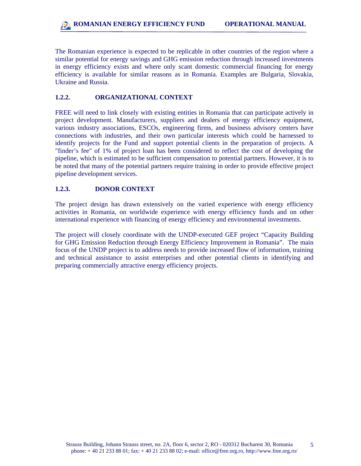The Romanian experience is expected to be replicable in other countries of the region where a similar potential for energy savings and GHG emission reduction through increased investments in energy efficiency exists and where only scant domestic commercial financing for energy efficiency is available for similar reasons as in Romania. Examples are Bulgaria, Slovakia, Ukraine and Russia.

#### **1.2.2. ORGANIZATIONAL CONTEXT**

FREE will need to link closely with existing entities in Romania that can participate actively in project development. Manufacturers, suppliers and dealers of energy efficiency equipment, various industry associations, ESCOs, engineering firms, and business advisory centers have connections with industries, and their own particular interests which could be harnessed to identify projects for the Fund and support potential clients in the preparation of projects. A "finder's fee" of 1% of project loan has been considered to reflect the cost of developing the pipeline, which is estimated to be sufficient compensation to potential partners. However, it is to be noted that many of the potential partners require training in order to provide effective project pipeline development services.

#### **1.2.3. DONOR CONTEXT**

The project design has drawn extensively on the varied experience with energy efficiency activities in Romania, on worldwide experience with energy efficiency funds and on other international experience with financing of energy efficiency and environmental investments.

The project will closely coordinate with the UNDP-executed GEF project "Capacity Building for GHG Emission Reduction through Energy Efficiency Improvement in Romania". The main focus of the UNDP project is to address needs to provide increased flow of information, training and technical assistance to assist enterprises and other potential clients in identifying and preparing commercially attractive energy efficiency projects.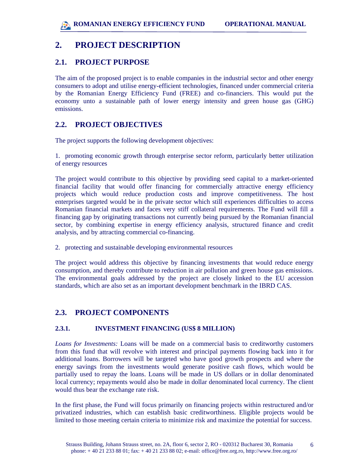# **2. PROJECT DESCRIPTION**

## **2.1. PROJECT PURPOSE**

The aim of the proposed project is to enable companies in the industrial sector and other energy consumers to adopt and utilise energy-efficient technologies, financed under commercial criteria by the Romanian Energy Efficiency Fund (FREE) and co-financiers. This would put the economy unto a sustainable path of lower energy intensity and green house gas (GHG) emissions.

## **2.2. PROJECT OBJECTIVES**

The project supports the following development objectives:

1. promoting economic growth through enterprise sector reform, particularly better utilization of energy resources

The project would contribute to this objective by providing seed capital to a market-oriented financial facility that would offer financing for commercially attractive energy efficiency projects which would reduce production costs and improve competitiveness. The host enterprises targeted would be in the private sector which still experiences difficulties to access Romanian financial markets and faces very stiff collateral requirements. The Fund will fill a financing gap by originating transactions not currently being pursued by the Romanian financial sector, by combining expertise in energy efficiency analysis, structured finance and credit analysis, and by attracting commercial co-financing.

2. protecting and sustainable developing environmental resources

The project would address this objective by financing investments that would reduce energy consumption, and thereby contribute to reduction in air pollution and green house gas emissions. The environmental goals addressed by the project are closely linked to the EU accession standards, which are also set as an important development benchmark in the IBRD CAS.

## **2.3. PROJECT COMPONENTS**

## **2.3.1. INVESTMENT FINANCING (US\$ 8 MILLION)**

*Loans for Investments:* Loans will be made on a commercial basis to creditworthy customers from this fund that will revolve with interest and principal payments flowing back into it for additional loans. Borrowers will be targeted who have good growth prospects and where the energy savings from the investments would generate positive cash flows, which would be partially used to repay the loans. Loans will be made in US dollars or in dollar denominated local currency; repayments would also be made in dollar denominated local currency. The client would thus bear the exchange rate risk.

In the first phase, the Fund will focus primarily on financing projects within restructured and/or privatized industries, which can establish basic creditworthiness. Eligible projects would be limited to those meeting certain criteria to minimize risk and maximize the potential for success.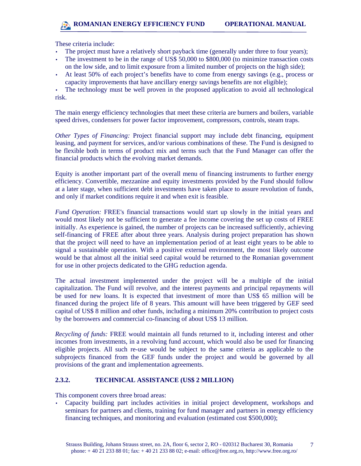These criteria include:

- The project must have a relatively short payback time (generally under three to four years);
- The investment to be in the range of US\$ 50,000 to \$800,000 (to minimize transaction costs on the low side, and to limit exposure from a limited number of projects on the high side);
- At least 50% of each project's benefits have to come from energy savings (e.g., process or capacity improvements that have ancillary energy savings benefits are not eligible);

• The technology must be well proven in the proposed application to avoid all technological risk.

The main energy efficiency technologies that meet these criteria are burners and boilers, variable speed drives, condensers for power factor improvement, compressors, controls, steam traps.

*Other Types of Financing:* Project financial support may include debt financing, equipment leasing, and payment for services, and/or various combinations of these. The Fund is designed to be flexible both in terms of product mix and terms such that the Fund Manager can offer the financial products which the evolving market demands.

Equity is another important part of the overall menu of financing instruments to further energy efficiency. Convertible, mezzanine and equity investments provided by the Fund should follow at a later stage, when sufficient debt investments have taken place to assure revolution of funds, and only if market conditions require it and when exit is feasible.

*Fund Operation:* FREE's financial transactions would start up slowly in the initial years and would most likely not be sufficient to generate a fee income covering the set up costs of FREE initially. As experience is gained, the number of projects can be increased sufficiently, achieving self-financing of FREE after about three years. Analysis during project preparation has shown that the project will need to have an implementation period of at least eight years to be able to signal a sustainable operation. With a positive external environment, the most likely outcome would be that almost all the initial seed capital would be returned to the Romanian government for use in other projects dedicated to the GHG reduction agenda.

The actual investment implemented under the project will be a multiple of the initial capitalization. The Fund will revolve, and the interest payments and principal repayments will be used for new loans. It is expected that investment of more than US\$ 65 million will be financed during the project life of 8 years. This amount will have been triggered by GEF seed capital of US\$ 8 million and other funds, including a minimum 20% contribution to project costs by the borrowers and commercial co-financing of about US\$ 13 million.

*Recycling of funds:* FREE would maintain all funds returned to it, including interest and other incomes from investments, in a revolving fund account, which would also be used for financing eligible projects. All such re-use would be subject to the same criteria as applicable to the subprojects financed from the GEF funds under the project and would be governed by all provisions of the grant and implementation agreements.

#### **2.3.2. TECHNICAL ASSISTANCE (US\$ 2 MILLION)**

This component covers three broad areas:

• Capacity building part includes activities in initial project development, workshops and seminars for partners and clients, training for fund manager and partners in energy efficiency financing techniques, and monitoring and evaluation (estimated cost \$500,000);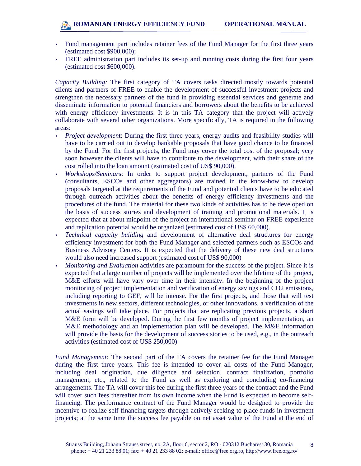- Fund management part includes retainer fees of the Fund Manager for the first three years (estimated cost \$900,000);
- FREE administration part includes its set-up and running costs during the first four years (estimated cost \$600,000).

*Capacity Building:* The first category of TA covers tasks directed mostly towards potential clients and partners of FREE to enable the development of successful investment projects and strengthen the necessary partners of the fund in providing essential services and generate and disseminate information to potential financiers and borrowers about the benefits to be achieved with energy efficiency investments. It is in this TA category that the project will actively collaborate with several other organizations. More specifically, TA is required in the following areas:

- *Project developmen*t: During the first three years, energy audits and feasibility studies will have to be carried out to develop bankable proposals that have good chance to be financed by the Fund. For the first projects, the Fund may cover the total cost of the proposal; very soon however the clients will have to contribute to the development, with their share of the cost rolled into the loan amount (estimated cost of US\$ 90,000).
- *Workshops/Seminar*s: In order to support project development, partners of the Fund (consultants, ESCOs and other aggregators) are trained in the know-how to develop proposals targeted at the requirements of the Fund and potential clients have to be educated through outreach activities about the benefits of energy efficiency investments and the procedures of the fund. The material for these two kinds of activities has to be developed on the basis of success stories and development of training and promotional materials. It is expected that at about midpoint of the project an international seminar on FREE experience and replication potential would be organized (estimated cost of US\$ 60,000).
- *Technical capacity building* and development of alternative deal structures for energy efficiency investment for both the Fund Manager and selected partners such as ESCOs and Business Advisory Centers. It is expected that the delivery of these new deal structures would also need increased support (estimated cost of US\$ 90,000)
- *Monitoring and Evaluation* activities are paramount for the success of the project. Since it is expected that a large number of projects will be implemented over the lifetime of the project, M&E efforts will have vary over time in their intensity. In the beginning of the project monitoring of project implementation and verification of energy savings and CO2 emissions, including reporting to GEF, will be intense. For the first projects, and those that will test investments in new sectors, different technologies, or other innovations, a verification of the actual savings will take place. For projects that are replicating previous projects, a short M&E form will be developed. During the first few months of project implementation, an M&E methodology and an implementation plan will be developed. The M&E information will provide the basis for the development of success stories to be used, e.g., in the outreach activities (estimated cost of US\$ 250,000)

*Fund Management:* The second part of the TA covers the retainer fee for the Fund Manager during the first three years. This fee is intended to cover all costs of the Fund Manager, including deal origination, due diligence and selection, contract finalization, portfolio management, etc., related to the Fund as well as exploring and concluding co-financing arrangements. The TA will cover this fee during the first three years of the contract and the Fund will cover such fees thereafter from its own income when the Fund is expected to become selffinancing. The performance contract of the Fund Manager would be designed to provide the incentive to realize self-financing targets through actively seeking to place funds in investment projects; at the same time the success fee payable on net asset value of the Fund at the end of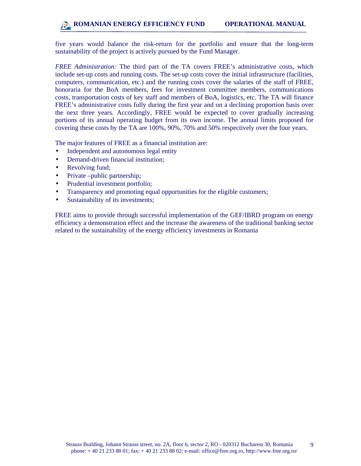five years would balance the risk-return for the portfolio and ensure that the long-term sustainability of the project is actively pursued by the Fund Manager.

*FREE Administration:* The third part of the TA covers FREE's administrative costs, which include set-up costs and running costs. The set-up costs cover the initial infrastructure (facilities, computers, communication, etc.) and the running costs cover the salaries of the staff of FREE, honoraria for the BoA members, fees for investment committee members, communications costs, transportation costs of key staff and members of BoA, logistics, etc. The TA will finance FREE's administrative costs fully during the first year and on a declining proportion basis over the next three years. Accordingly, FREE would be expected to cover gradually increasing portions of its annual operating budget from its own income. The annual limits proposed for covering these costs by the TA are 100%, 90%, 70% and 50% respectively over the four years.

The major features of FREE as a financial institution are:

- Independent and autonomous legal entity
- Demand-driven financial institution:
- Revolving fund;
- Private –public partnership;
- Prudential investment portfolio;
- Transparency and promoting equal opportunities for the eligible customers;
- Sustainability of its investments;

FREE aims to provide through successful implementation of the GEF/IBRD program on energy efficiency a demonstration effect and the increase the awareness of the traditional banking sector related to the sustainability of the energy efficiency investments in Romania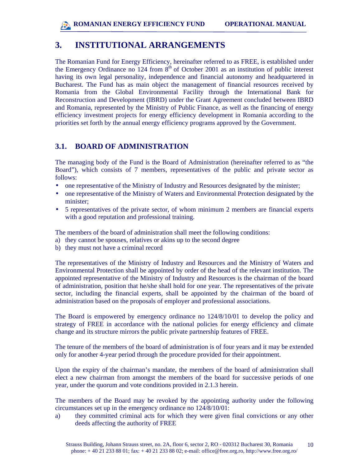# **3. INSTITUTIONAL ARRANGEMENTS**

The Romanian Fund for Energy Efficiency, hereinafter referred to as FREE, is established under the Emergency Ordinance no 124 from  $8<sup>th</sup>$  of October 2001 as an institution of public interest having its own legal personality, independence and financial autonomy and headquartered in Bucharest. The Fund has as main object the management of financial resources received by Romania from the Global Environmental Facility through the International Bank for Reconstruction and Development (IBRD) under the Grant Agreement concluded between IBRD and Romania, represented by the Ministry of Public Finance, as well as the financing of energy efficiency investment projects for energy efficiency development in Romania according to the priorities set forth by the annual energy efficiency programs approved by the Government.

## **3.1. BOARD OF ADMINISTRATION**

The managing body of the Fund is the Board of Administration (hereinafter referred to as "the Board"), which consists of 7 members, representatives of the public and private sector as follows:

- one representative of the Ministry of Industry and Resources designated by the minister;
- one representative of the Ministry of Waters and Environmental Protection designated by the minister;
- 5 representatives of the private sector, of whom minimum 2 members are financial experts with a good reputation and professional training.

The members of the board of administration shall meet the following conditions:

- a) they cannot be spouses, relatives or akins up to the second degree
- b) they must not have a criminal record

The representatives of the Ministry of Industry and Resources and the Ministry of Waters and Environmental Protection shall be appointed by order of the head of the relevant institution. The appointed representative of the Ministry of Industry and Resources is the chairman of the board of administration, position that he/she shall hold for one year. The representatives of the private sector, including the financial experts, shall be appointed by the chairman of the board of administration based on the proposals of employer and professional associations.

The Board is empowered by emergency ordinance no 124/8/10/01 to develop the policy and strategy of FREE in accordance with the national policies for energy efficiency and climate change and its structure mirrors the public private partnership features of FREE.

The tenure of the members of the board of administration is of four years and it may be extended only for another 4-year period through the procedure provided for their appointment.

Upon the expiry of the chairman's mandate, the members of the board of administration shall elect a new chairman from amongst the members of the board for successive periods of one year, under the quorum and vote conditions provided in 2.1.3 herein.

The members of the Board may be revoked by the appointing authority under the following circumstances set up in the emergency ordinance no 124/8/10/01:

a) they committed criminal acts for which they were given final convictions or any other deeds affecting the authority of FREE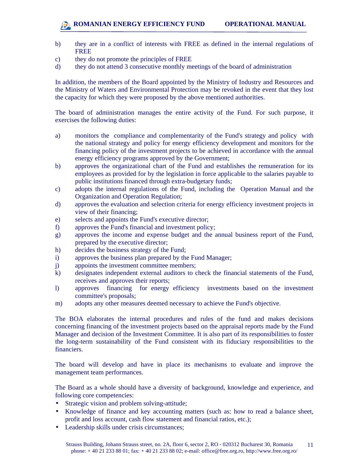- b) they are in a conflict of interests with FREE as defined in the internal regulations of FREE
- c) they do not promote the principles of FREE
- d) they do not attend 3 consecutive monthly meetings of the board of administration

In addition, the members of the Board appointed by the Ministry of Industry and Resources and the Ministry of Waters and Environmental Protection may be revoked in the event that they lost the capacity for which they were proposed by the above mentioned authorities.

The board of administration manages the entire activity of the Fund. For such purpose, it exercises the following duties:

- a) monitors the compliance and complementarity of the Fund's strategy and policy with the national strategy and policy for energy efficiency development and monitors for the financing policy of the investment projects to be achieved in accordance with the annual energy efficiency programs approved by the Government;
- b) approves the organizational chart of the Fund and establishes the remuneration for its employees as provided for by the legislation in force applicable to the salaries payable to public institutions financed through extra-budgetary funds;
- c) adopts the internal regulations of the Fund, including the Operation Manual and the Organization and Operation Regulation;
- d) approves the evaluation and selection criteria for energy efficiency investment projects in view of their financing;
- e) selects and appoints the Fund's executive director;
- f) approves the Fund's financial and investment policy;
- g) approves the income and expense budget and the annual business report of the Fund, prepared by the executive director;
- h) decides the business strategy of the Fund;
- i) approves the business plan prepared by the Fund Manager;
- j) appoints the investment committee members;
- k) designates independent external auditors to check the financial statements of the Fund, receives and approves their reports;
- l) approves financing for energy efficiency investments based on the investment committee's proposals;
- m) adopts any other measures deemed necessary to achieve the Fund's objective.

The BOA elaborates the internal procedures and rules of the fund and makes decisions concerning financing of the investment projects based on the appraisal reports made by the Fund Manager and decision of the Investment Committee. It is also part of its responsibilities to foster the long-term sustainability of the Fund consistent with its fiduciary responsibilities to the financiers.

The board will develop and have in place its mechanisms to evaluate and improve the management team performances.

The Board as a whole should have a diversity of background, knowledge and experience, and following core competencies:

- Strategic vision and problem solving-attitude;
- Knowledge of finance and key accounting matters (such as: how to read a balance sheet, profit and loss account, cash flow statement and financial ratios, etc.);
- Leadership skills under crisis circumstances;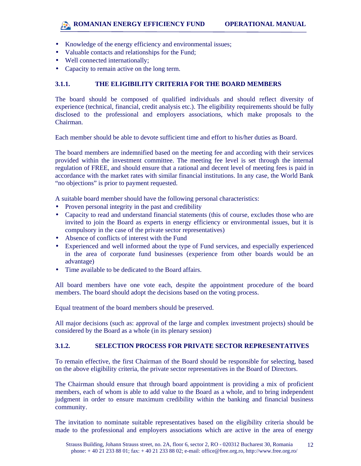- Knowledge of the energy efficiency and environmental issues;
- Valuable contacts and relationships for the Fund;
- Well connected internationally;
- Capacity to remain active on the long term.

## **3.1.1. THE ELIGIBILITY CRITERIA FOR THE BOARD MEMBERS**

The board should be composed of qualified individuals and should reflect diversity of experience (technical, financial, credit analysis etc.). The eligibility requirements should be fully disclosed to the professional and employers associations, which make proposals to the Chairman.

Each member should be able to devote sufficient time and effort to his/her duties as Board.

The board members are indemnified based on the meeting fee and according with their services provided within the investment committee. The meeting fee level is set through the internal regulation of FREE, and should ensure that a rational and decent level of meeting fees is paid in accordance with the market rates with similar financial institutions. In any case, the World Bank "no objections" is prior to payment requested.

A suitable board member should have the following personal characteristics:

- Proven personal integrity in the past and credibility
- Capacity to read and understand financial statements (this of course, excludes those who are invited to join the Board as experts in energy efficiency or environmental issues, but it is compulsory in the case of the private sector representatives)
- Absence of conflicts of interest with the Fund
- Experienced and well informed about the type of Fund services, and especially experienced in the area of corporate fund businesses (experience from other boards would be an advantage)
- Time available to be dedicated to the Board affairs.

All board members have one vote each, despite the appointment procedure of the board members. The board should adopt the decisions based on the voting process.

Equal treatment of the board members should be preserved.

All major decisions (such as: approval of the large and complex investment projects) should be considered by the Board as a whole (in its plenary session)

## **3.1.2. SELECTION PROCESS FOR PRIVATE SECTOR REPRESENTATIVES**

To remain effective, the first Chairman of the Board should be responsible for selecting, based on the above eligibility criteria, the private sector representatives in the Board of Directors.

The Chairman should ensure that through board appointment is providing a mix of proficient members, each of whom is able to add value to the Board as a whole, and to bring independent judgment in order to ensure maximum credibility within the banking and financial business community.

The invitation to nominate suitable representatives based on the eligibility criteria should be made to the professional and employers associations which are active in the area of energy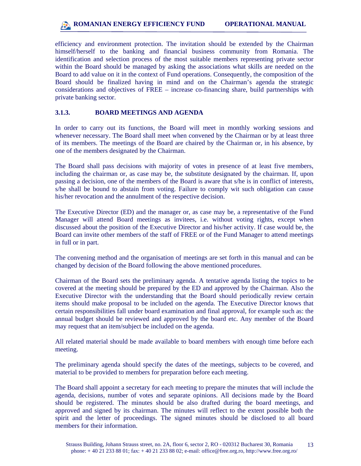efficiency and environment protection. The invitation should be extended by the Chairman himself/herself to the banking and financial business community from Romania. The identification and selection process of the most suitable members representing private sector within the Board should be managed by asking the associations what skills are needed on the Board to add value on it in the context of Fund operations. Consequently, the composition of the Board should be finalized having in mind and on the Chairman's agenda the strategic considerations and objectives of FREE – increase co-financing share, build partnerships with private banking sector.

#### **3.1.3. BOARD MEETINGS AND AGENDA**

In order to carry out its functions, the Board will meet in monthly working sessions and whenever necessary. The Board shall meet when convened by the Chairman or by at least three of its members. The meetings of the Board are chaired by the Chairman or, in his absence, by one of the members designated by the Chairman.

The Board shall pass decisions with majority of votes in presence of at least five members, including the chairman or, as case may be, the substitute designated by the chairman. If, upon passing a decision, one of the members of the Board is aware that s/he is in conflict of interests, s/he shall be bound to abstain from voting. Failure to comply wit such obligation can cause his/her revocation and the annulment of the respective decision.

The Executive Director (ED) and the manager or, as case may be, a representative of the Fund Manager will attend Board meetings as invitees, i.e. without voting rights, except when discussed about the position of the Executive Director and his/her activity. If case would be, the Board can invite other members of the staff of FREE or of the Fund Manager to attend meetings in full or in part.

The convening method and the organisation of meetings are set forth in this manual and can be changed by decision of the Board following the above mentioned procedures.

Chairman of the Board sets the preliminary agenda. A tentative agenda listing the topics to be covered at the meeting should be prepared by the ED and approved by the Chairman. Also the Executive Director with the understanding that the Board should periodically review certain items should make proposal to be included on the agenda. The Executive Director knows that certain responsibilities fall under board examination and final approval, for example such as: the annual budget should be reviewed and approved by the board etc. Any member of the Board may request that an item/subject be included on the agenda.

All related material should be made available to board members with enough time before each meeting.

The preliminary agenda should specify the dates of the meetings, subjects to be covered, and material to be provided to members for preparation before each meeting.

The Board shall appoint a secretary for each meeting to prepare the minutes that will include the agenda, decisions, number of votes and separate opinions. All decisions made by the Board should be registered. The minutes should be also drafted during the board meetings, and approved and signed by its chairman. The minutes will reflect to the extent possible both the spirit and the letter of proceedings. The signed minutes should be disclosed to all board members for their information.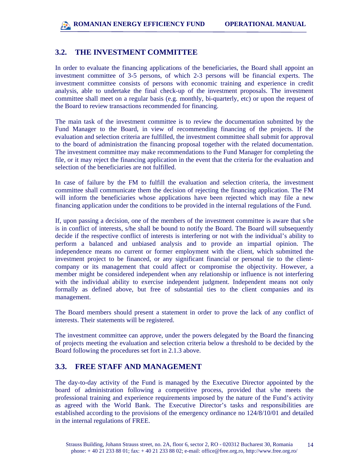## **3.2. THE INVESTMENT COMMITTEE**

In order to evaluate the financing applications of the beneficiaries, the Board shall appoint an investment committee of 3-5 persons, of which 2-3 persons will be financial experts. The investment committee consists of persons with economic training and experience in credit analysis, able to undertake the final check-up of the investment proposals. The investment committee shall meet on a regular basis (e.g. monthly, bi-quarterly, etc) or upon the request of the Board to review transactions recommended for financing.

The main task of the investment committee is to review the documentation submitted by the Fund Manager to the Board, in view of recommending financing of the projects. If the evaluation and selection criteria are fulfilled, the investment committee shall submit for approval to the board of administration the financing proposal together with the related documentation. The investment committee may make recommendations to the Fund Manager for completing the file, or it may reject the financing application in the event that the criteria for the evaluation and selection of the beneficiaries are not fulfilled.

In case of failure by the FM to fulfill the evaluation and selection criteria, the investment committee shall communicate them the decision of rejecting the financing application. The FM will inform the beneficiaries whose applications have been rejected which may file a new financing application under the conditions to be provided in the internal regulations of the Fund.

If, upon passing a decision, one of the members of the investment committee is aware that s/he is in conflict of interests, s/he shall be bound to notify the Board. The Board will subsequently decide if the respective conflict of interests is interfering or not with the individual's ability to perform a balanced and unbiased analysis and to provide an impartial opinion. The independence means no current or former employment with the client, which submitted the investment project to be financed, or any significant financial or personal tie to the clientcompany or its management that could affect or compromise the objectivity. However, a member might be considered independent when any relationship or influence is not interfering with the individual ability to exercise independent judgment. Independent means not only formally as defined above, but free of substantial ties to the client companies and its management.

The Board members should present a statement in order to prove the lack of any conflict of interests. Their statements will be registered.

The investment committee can approve, under the powers delegated by the Board the financing of projects meeting the evaluation and selection criteria below a threshold to be decided by the Board following the procedures set fort in 2.1.3 above.

## **3.3. FREE STAFF AND MANAGEMENT**

The day-to-day activity of the Fund is managed by the Executive Director appointed by the board of administration following a competitive process, provided that s/he meets the professional training and experience requirements imposed by the nature of the Fund's activity as agreed with the World Bank. The Executive Director's tasks and responsibilities are established according to the provisions of the emergency ordinance no 124/8/10/01 and detailed in the internal regulations of FREE.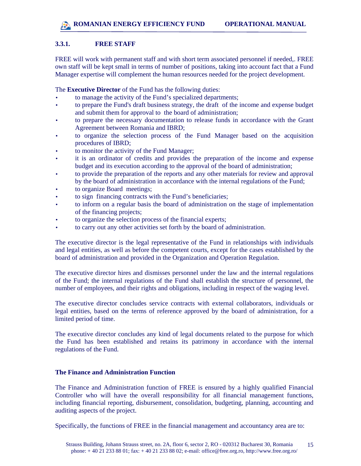## **3.3.1. FREE STAFF**

FREE will work with permanent staff and with short term associated personnel if needed,. FREE own staff will be kept small in terms of number of positions, taking into account fact that a Fund Manager expertise will complement the human resources needed for the project development.

The **Executive Director** of the Fund has the following duties:

- to manage the activity of the Fund's specialized departments;
- to prepare the Fund's draft business strategy, the draft of the income and expense budget and submit them for approval to the board of administration;
- to prepare the necessary documentation to release funds in accordance with the Grant Agreement between Romania and IBRD;
- to organize the selection process of the Fund Manager based on the acquisition procedures of IBRD;
- to monitor the activity of the Fund Manager;
- it is an ordinator of credits and provides the preparation of the income and expense budget and its execution according to the approval of the board of administration;
- to provide the preparation of the reports and any other materials for review and approval by the board of administration in accordance with the internal regulations of the Fund;
- to organize Board meetings;
- to sign financing contracts with the Fund's beneficiaries;
- to inform on a regular basis the board of administration on the stage of implementation of the financing projects;
- to organize the selection process of the financial experts;
- to carry out any other activities set forth by the board of administration.

The executive director is the legal representative of the Fund in relationships with individuals and legal entities, as well as before the competent courts, except for the cases established by the board of administration and provided in the Organization and Operation Regulation.

The executive director hires and dismisses personnel under the law and the internal regulations of the Fund; the internal regulations of the Fund shall establish the structure of personnel, the number of employees, and their rights and obligations, including in respect of the waging level.

The executive director concludes service contracts with external collaborators, individuals or legal entities, based on the terms of reference approved by the board of administration, for a limited period of time.

The executive director concludes any kind of legal documents related to the purpose for which the Fund has been established and retains its patrimony in accordance with the internal regulations of the Fund.

#### **The Finance and Administration Function**

The Finance and Administration function of FREE is ensured by a highly qualified Financial Controller who will have the overall responsibility for all financial management functions, including financial reporting, disbursement, consolidation, budgeting, planning, accounting and auditing aspects of the project.

Specifically, the functions of FREE in the financial management and accountancy area are to: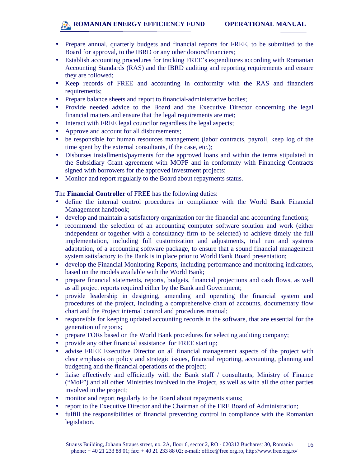## **ROMANIAN ENERGY EFFICIENCY FUND OPERATIONAL MANUAL**

- Prepare annual, quarterly budgets and financial reports for FREE, to be submitted to the Board for approval, to the IBRD or any other donors/financiers;
- Establish accounting procedures for tracking FREE's expenditures according with Romanian Accounting Standards (RAS) and the IBRD auditing and reporting requirements and ensure they are followed;
- Keep records of FREE and accounting in conformity with the RAS and financiers requirements;
- Prepare balance sheets and report to financial-administrative bodies;
- Provide needed advice to the Board and the Executive Director concerning the legal financial matters and ensure that the legal requirements are met;
- Interact with FREE legal councilor regardless the legal aspects;
- Approve and account for all disbursements;
- be responsible for human resources management (labor contracts, payroll, keep log of the time spent by the external consultants, if the case, etc.);
- Disburses installments/payments for the approved loans and within the terms stipulated in the Subsidiary Grant agreement with MOPF and in conformity with Financing Contracts signed with borrowers for the approved investment projects;
- Monitor and report regularly to the Board about repayments status.

#### The **Financial Controller** of FREE has the following duties:

- define the internal control procedures in compliance with the World Bank Financial Management handbook;
- develop and maintain a satisfactory organization for the financial and accounting functions;
- recommend the selection of an accounting computer software solution and work (either independent or together with a consultancy firm to be selected) to achieve timely the full implementation, including full customization and adjustments, trial run and systems adaptation, of a accounting software package, to ensure that a sound financial management system satisfactory to the Bank is in place prior to World Bank Board presentation;
- develop the Financial Monitoring Reports, including performance and monitoring indicators, based on the models available with the World Bank;
- prepare financial statements, reports, budgets, financial projections and cash flows, as well as all project reports required either by the Bank and Government;
- provide leadership in designing, amending and operating the financial system and procedures of the project, including a comprehensive chart of accounts, documentary flow chart and the Project internal control and procedures manual;
- responsible for keeping updated accounting records in the software, that are essential for the generation of reports;
- prepare TORs based on the World Bank procedures for selecting auditing company;
- provide any other financial assistance for FREE start up;
- advise FREE Executive Director on all financial management aspects of the project with clear emphasis on policy and strategic issues, financial reporting, accounting, planning and budgeting and the financial operations of the project;
- liaise effectively and efficiently with the Bank staff / consultants, Ministry of Finance ("MoF") and all other Ministries involved in the Project, as well as with all the other parties involved in the project;
- monitor and report regularly to the Board about repayments status;
- report to the Executive Director and the Chairman of the FRE Board of Administration;
- fulfill the responsibilities of financial preventing control in compliance with the Romanian legislation.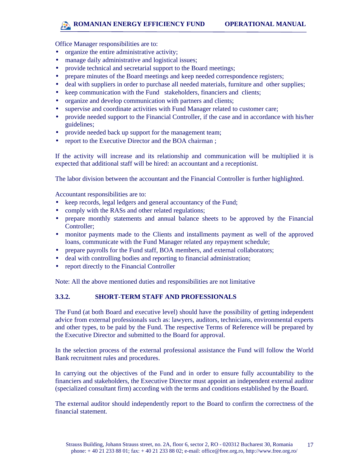Office Manager responsibilities are to:

- organize the entire administrative activity;
- manage daily administrative and logistical issues;
- provide technical and secretarial support to the Board meetings;
- prepare minutes of the Board meetings and keep needed correspondence registers;
- deal with suppliers in order to purchase all needed materials, furniture and other supplies;
- keep communication with the Fund stakeholders, financiers and clients;
- organize and develop communication with partners and clients;
- supervise and coordinate activities with Fund Manager related to customer care;
- provide needed support to the Financial Controller, if the case and in accordance with his/her guidelines;
- provide needed back up support for the management team;
- report to the Executive Director and the BOA chairman;

If the activity will increase and its relationship and communication will be multiplied it is expected that additional staff will be hired: an accountant and a receptionist.

The labor division between the accountant and the Financial Controller is further highlighted.

Accountant responsibilities are to:

- keep records, legal ledgers and general accountancy of the Fund;
- comply with the RASs and other related regulations;
- prepare monthly statements and annual balance sheets to be approved by the Financial Controller;
- monitor payments made to the Clients and installments payment as well of the approved loans, communicate with the Fund Manager related any repayment schedule;
- prepare payrolls for the Fund staff, BOA members, and external collaborators;
- deal with controlling bodies and reporting to financial administration;
- report directly to the Financial Controller

Note: All the above mentioned duties and responsibilities are not limitative

#### **3.3.2. SHORT-TERM STAFF AND PROFESSIONALS**

The Fund (at both Board and executive level) should have the possibility of getting independent advice from external professionals such as: lawyers, auditors, technicians, environmental experts and other types, to be paid by the Fund. The respective Terms of Reference will be prepared by the Executive Director and submitted to the Board for approval.

In the selection process of the external professional assistance the Fund will follow the World Bank recruitment rules and procedures.

In carrying out the objectives of the Fund and in order to ensure fully accountability to the financiers and stakeholders, the Executive Director must appoint an independent external auditor (specialized consultant firm) according with the terms and conditions established by the Board.

The external auditor should independently report to the Board to confirm the correctness of the financial statement.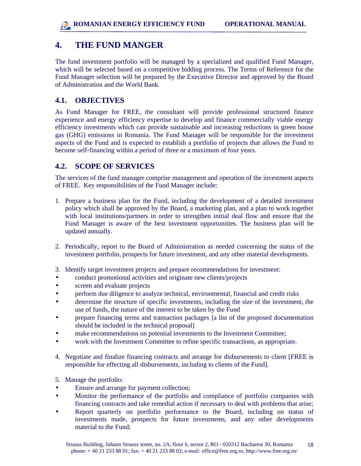# **4. THE FUND MANGER**

The fund investment portfolio will be managed by a specialized and qualified Fund Manager, which will be selected based on a competitive bidding process. The Terms of Reference for the Fund Manager selection will be prepared by the Executive Director and approved by the Board of Administration and the World Bank.

## **4.1. OBJECTIVES**

As Fund Manager for FREE, the consultant will provide professional structured finance experience and energy efficiency expertise to develop and finance commercially viable energy efficiency investments which can provide sustainable and increasing reductions in green house gas (GHG) emissions in Romania. The Fund Manager will be responsible for the investment aspects of the Fund and is expected to establish a portfolio of projects that allows the Fund to become self-financing within a period of three or a maximum of four years.

## **4.2. SCOPE OF SERVICES**

The services of the fund manager comprise management and operation of the investment aspects of FREE. Key responsibilities of the Fund Manager include:

- 1. Prepare a business plan for the Fund, including the development of a detailed investment policy which shall be approved by the Board, a marketing plan, and a plan to work together with local institutions/partners in order to strengthen initial deal flow and ensure that the Fund Manager is aware of the best investment opportunities. The business plan will be updated annually.
- 2. Periodically, report to the Board of Administration as needed concerning the status of the investment portfolio, prospects for future investment, and any other material developments.
- 3. Identify target investment projects and prepare recommendations for investment:
- conduct promotional activities and originate new clients/projects
- screen and evaluate projects
- perform due diligence to analyze technical, environmental, financial and credit risks
- determine the structure of specific investments, including the size of the investment, the use of funds, the nature of the interest to be taken by the Fund
- prepare financing terms and transaction packages [a list of the proposed documentation should be included in the technical proposal]
- make recommendations on potential investments to the Investment Committee;
- work with the Investment Committee to refine specific transactions, as appropriate.
- 4. Negotiate and finalize financing contracts and arrange for disbursements to client [FREE is responsible for effecting all disbursements, including to clients of the Fund].
- 5. Manage the portfolio:
- Ensure and arrange for payment collection;
- Monitor the performance of the portfolio and compliance of portfolio companies with financing contracts and take remedial action if necessary to deal with problems that arise;
- Report quarterly on portfolio performance to the Board, including on status of investments made, prospects for future investments, and any other developments material to the Fund;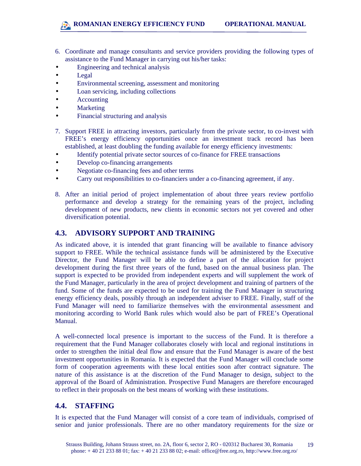- 6. Coordinate and manage consultants and service providers providing the following types of assistance to the Fund Manager in carrying out his/her tasks:
- Engineering and technical analysis
- Legal
- Environmental screening, assessment and monitoring
- Loan servicing, including collections
- **Accounting**
- Marketing
- Financial structuring and analysis
- 7. Support FREE in attracting investors, particularly from the private sector, to co-invest with FREE's energy efficiency opportunities once an investment track record has been established, at least doubling the funding available for energy efficiency investments:
- Identify potential private sector sources of co-finance for FREE transactions
- Develop co-financing arrangements
- Negotiate co-financing fees and other terms
- Carry out responsibilities to co-financiers under a co-financing agreement, if any.
- 8. After an initial period of project implementation of about three years review portfolio performance and develop a strategy for the remaining years of the project, including development of new products, new clients in economic sectors not yet covered and other diversification potential.

## **4.3. ADVISORY SUPPORT AND TRAINING**

As indicated above, it is intended that grant financing will be available to finance advisory support to FREE. While the technical assistance funds will be administered by the Executive Director, the Fund Manager will be able to define a part of the allocation for project development during the first three years of the fund, based on the annual business plan. The support is expected to be provided from independent experts and will supplement the work of the Fund Manager, particularly in the area of project development and training of partners of the fund. Some of the funds are expected to be used for training the Fund Manager in structuring energy efficiency deals, possibly through an independent adviser to FREE. Finally, staff of the Fund Manager will need to familiarize themselves with the environmental assessment and monitoring according to World Bank rules which would also be part of FREE's Operational Manual.

A well-connected local presence is important to the success of the Fund. It is therefore a requirement that the Fund Manager collaborates closely with local and regional institutions in order to strengthen the initial deal flow and ensure that the Fund Manager is aware of the best investment opportunities in Romania. It is expected that the Fund Manager will conclude some form of cooperation agreements with these local entities soon after contract signature. The nature of this assistance is at the discretion of the Fund Manager to design, subject to the approval of the Board of Administration. Prospective Fund Managers are therefore encouraged to reflect in their proposals on the best means of working with these institutions.

## **4.4. STAFFING**

It is expected that the Fund Manager will consist of a core team of individuals, comprised of senior and junior professionals. There are no other mandatory requirements for the size or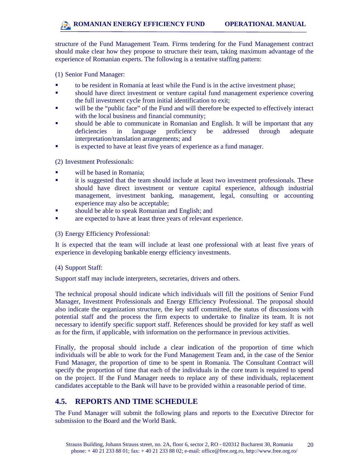structure of the Fund Management Team. Firms tendering for the Fund Management contract should make clear how they propose to structure their team, taking maximum advantage of the experience of Romanian experts. The following is a tentative staffing pattern:

(1) Senior Fund Manager:

- to be resident in Romania at least while the Fund is in the active investment phase;
- should have direct investment or venture capital fund management experience covering the full investment cycle from initial identification to exit;
- will be the "public face" of the Fund and will therefore be expected to effectively interact with the local business and financial community;
- should be able to communicate in Romanian and English. It will be important that any deficiencies in language proficiency be addressed through adequate interpretation/translation arrangements; and
- is expected to have at least five years of experience as a fund manager.

(2) Investment Professionals:

- will be based in Romania;
- it is suggested that the team should include at least two investment professionals. These should have direct investment or venture capital experience, although industrial management, investment banking, management, legal, consulting or accounting experience may also be acceptable;
- should be able to speak Romanian and English; and
- are expected to have at least three years of relevant experience.

#### (3) Energy Efficiency Professional:

It is expected that the team will include at least one professional with at least five years of experience in developing bankable energy efficiency investments.

#### (4) Support Staff:

Support staff may include interpreters, secretaries, drivers and others.

The technical proposal should indicate which individuals will fill the positions of Senior Fund Manager, Investment Professionals and Energy Efficiency Professional. The proposal should also indicate the organization structure, the key staff committed, the status of discussions with potential staff and the process the firm expects to undertake to finalize its team. It is not necessary to identify specific support staff. References should be provided for key staff as well as for the firm, if applicable, with information on the performance in previous activities.

Finally, the proposal should include a clear indication of the proportion of time which individuals will be able to work for the Fund Management Team and, in the case of the Senior Fund Manager, the proportion of time to be spent in Romania. The Consultant Contract will specify the proportion of time that each of the individuals in the core team is required to spend on the project. If the Fund Manager needs to replace any of these individuals, replacement candidates acceptable to the Bank will have to be provided within a reasonable period of time.

## **4.5. REPORTS AND TIME SCHEDULE**

The Fund Manager will submit the following plans and reports to the Executive Director for submission to the Board and the World Bank.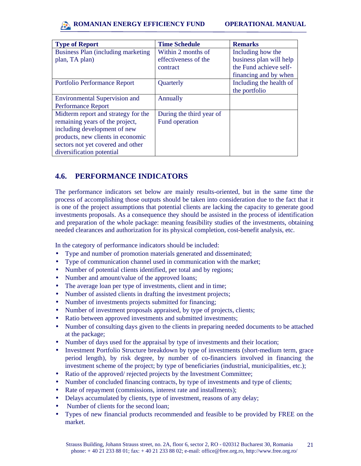**ROMANIAN ENERGY EFFICIENCY FUND OPERATIONAL MANUAL** 

| <b>Type of Report</b>                | <b>Time Schedule</b>     | <b>Remarks</b>          |
|--------------------------------------|--------------------------|-------------------------|
| Business Plan (including marketing)  | Within 2 months of       | Including how the       |
| plan, TA plan)                       | effectiveness of the     | business plan will help |
|                                      | contract                 | the Fund achieve self-  |
|                                      |                          | financing and by when   |
| Portfolio Performance Report         | Quarterly                | Including the health of |
|                                      |                          | the portfolio           |
| <b>Environmental Supervision and</b> | Annually                 |                         |
| <b>Performance Report</b>            |                          |                         |
| Midterm report and strategy for the  | During the third year of |                         |
| remaining years of the project,      | Fund operation           |                         |
| including development of new         |                          |                         |
| products, new clients in economic    |                          |                         |
| sectors not yet covered and other    |                          |                         |
| diversification potential            |                          |                         |

## **4.6. PERFORMANCE INDICATORS**

The performance indicators set below are mainly results-oriented, but in the same time the process of accomplishing those outputs should be taken into consideration due to the fact that it is one of the project assumptions that potential clients are lacking the capacity to generate good investments proposals. As a consequence they should be assisted in the process of identification and preparation of the whole package: meaning feasibility studies of the investments, obtaining needed clearances and authorization for its physical completion, cost-benefit analysis, etc.

In the category of performance indicators should be included:

- Type and number of promotion materials generated and disseminated;
- Type of communication channel used in communication with the market;
- Number of potential clients identified, per total and by regions;
- Number and amount/value of the approved loans;
- The average loan per type of investments, client and in time;
- Number of assisted clients in drafting the investment projects;
- Number of investments projects submitted for financing;
- Number of investment proposals appraised, by type of projects, clients;
- Ratio between approved investments and submitted investments;
- Number of consulting days given to the clients in preparing needed documents to be attached at the package;
- Number of days used for the appraisal by type of investments and their location;
- Investment Portfolio Structure breakdown by type of investments (short-medium term, grace period length), by risk degree, by number of co-financiers involved in financing the investment scheme of the project; by type of beneficiaries (industrial, municipalities, etc.);
- Ratio of the approved/ rejected projects by the Investment Committee;
- Number of concluded financing contracts, by type of investments and type of clients;
- Rate of repayment (commissions, interest rate and installments);
- Delays accumulated by clients, type of investment, reasons of any delay;
- Number of clients for the second loan;
- Types of new financial products recommended and feasible to be provided by FREE on the market.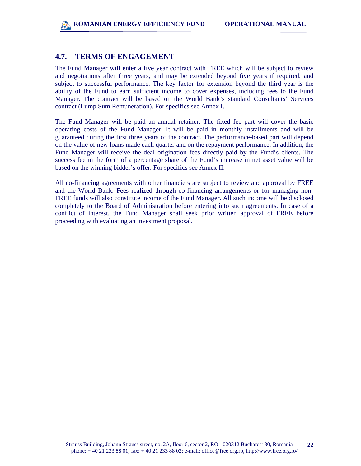## **4.7. TERMS OF ENGAGEMENT**

The Fund Manager will enter a five year contract with FREE which will be subject to review and negotiations after three years, and may be extended beyond five years if required, and subject to successful performance. The key factor for extension beyond the third year is the ability of the Fund to earn sufficient income to cover expenses, including fees to the Fund Manager. The contract will be based on the World Bank's standard Consultants' Services contract (Lump Sum Remuneration). For specifics see Annex I.

The Fund Manager will be paid an annual retainer. The fixed fee part will cover the basic operating costs of the Fund Manager. It will be paid in monthly installments and will be guaranteed during the first three years of the contract. The performance-based part will depend on the value of new loans made each quarter and on the repayment performance. In addition, the Fund Manager will receive the deal origination fees directly paid by the Fund's clients. The success fee in the form of a percentage share of the Fund's increase in net asset value will be based on the winning bidder's offer. For specifics see Annex II.

All co-financing agreements with other financiers are subject to review and approval by FREE and the World Bank. Fees realized through co-financing arrangements or for managing non-FREE funds will also constitute income of the Fund Manager. All such income will be disclosed completely to the Board of Administration before entering into such agreements. In case of a conflict of interest, the Fund Manager shall seek prior written approval of FREE before proceeding with evaluating an investment proposal.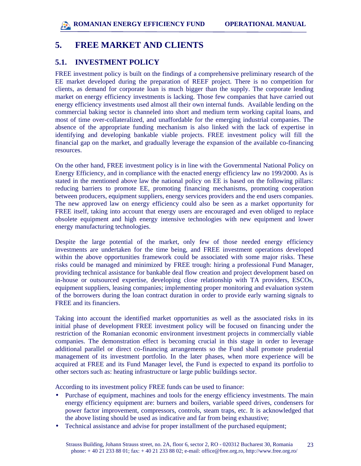# **5. FREE MARKET AND CLIENTS**

## **5.1. INVESTMENT POLICY**

FREE investment policy is built on the findings of a comprehensive preliminary research of the EE market developed during the preparation of REEF project. There is no competition for clients, as demand for corporate loan is much bigger than the supply. The corporate lending market on energy efficiency investments is lacking. Those few companies that have carried out energy efficiency investments used almost all their own internal funds. Available lending on the commercial baking sector is channeled into short and medium term working capital loans, and most of time over-collateralized, and unaffordable for the emerging industrial companies. The absence of the appropriate funding mechanism is also linked with the lack of expertise in identifying and developing bankable viable projects. FREE investment policy will fill the financial gap on the market, and gradually leverage the expansion of the available co-financing resources.

On the other hand, FREE investment policy is in line with the Governmental National Policy on Energy Efficiency, and in compliance with the enacted energy efficiency law no 199/2000. As is stated in the mentioned above law the national policy on EE is based on the following pillars: reducing barriers to promote EE, promoting financing mechanisms, promoting cooperation between producers, equipment suppliers, energy services providers and the end users companies. The new approved law on energy efficiency could also be seen as a market opportunity for FREE itself, taking into account that energy users are encouraged and even obliged to replace obsolete equipment and high energy intensive technologies with new equipment and lower energy manufacturing technologies.

Despite the large potential of the market, only few of those needed energy efficiency investments are undertaken for the time being, and FREE investment operations developed within the above opportunities framework could be associated with some major risks. These risks could be managed and minimized by FREE trough: hiring a professional Fund Manager, providing technical assistance for bankable deal flow creation and project development based on in-house or outsourced expertise, developing close relationship with TA providers, ESCOs, equipment suppliers, leasing companies; implementing proper monitoring and evaluation system of the borrowers during the loan contract duration in order to provide early warning signals to FREE and its financiers.

Taking into account the identified market opportunities as well as the associated risks in its initial phase of development FREE investment policy will be focused on financing under the restriction of the Romanian economic environment investment projects in commercially viable companies. The demonstration effect is becoming crucial in this stage in order to leverage additional parallel or direct co-financing arrangements so the Fund shall promote prudential management of its investment portfolio. In the later phases, when more experience will be acquired at FREE and its Fund Manager level, the Fund is expected to expand its portfolio to other sectors such as: heating infrastructure or large public buildings sector.

According to its investment policy FREE funds can be used to finance:

- Purchase of equipment, machines and tools for the energy efficiency investments. The main energy efficiency equipment are: burners and boilers, variable speed drives, condensers for power factor improvement, compressors, controls, steam traps, etc. It is acknowledged that the above listing should be used as indicative and far from being exhaustive;
- Technical assistance and advise for proper installment of the purchased equipment;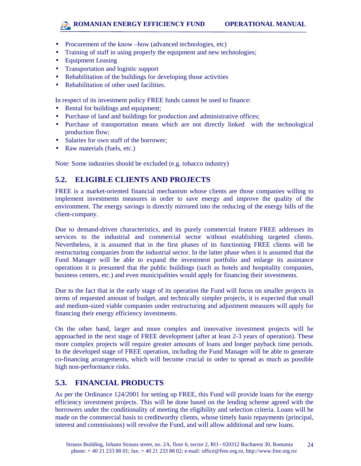- Procurement of the know –how (advanced technologies, etc)
- Training of staff in using properly the equipment and new technologies;
- Equipment Leasing
- Transportation and logistic support
- Rehabilitation of the buildings for developing those activities
- Rehabilitation of other used facilities.

In respect of its investment policy FREE funds cannot be used to finance:

- Rental for buildings and equipment;
- Purchase of land and buildings for production and administrative offices;
- Purchase of transportation means which are not directly linked with the technological production flow;
- Salaries for own staff of the borrower;
- Raw materials (fuels, etc.)

Note: Some industries should be excluded (e.g. tobacco industry)

## **5.2. ELIGIBLE CLIENTS AND PROJECTS**

FREE is a market-oriented financial mechanism whose clients are those companies willing to implement investments measures in order to save energy and improve the quality of the environment. The energy savings is directly mirrored into the reducing of the energy bills of the client-company.

Due to demand-driven characteristics, and its purely commercial feature FREE addresses its services to the industrial and commercial sector without establishing targeted clients. Nevertheless, it is assumed that in the first phases of its functioning FREE clients will be restructuring companies from the industrial sector. In the latter phase when it is assumed that the Fund Manager will be able to expand the investment portfolio and enlarge its assistance operations it is presumed that the public buildings (such as hotels and hospitality companies, business centers, etc.) and even municipalities would apply for financing their investments.

Due to the fact that in the early stage of its operation the Fund will focus on smaller projects in terms of requested amount of budget, and technically simpler projects, it is expected that small and medium-sized viable companies under restructuring and adjustment measures will apply for financing their energy efficiency investments.

On the other hand, larger and more complex and innovative investment projects will be approached in the next stage of FREE development (after at least 2-3 years of operation). These more complex projects will require greater amounts of loans and longer payback time periods. In the developed stage of FREE operation, including the Fund Manager will be able to generate co-financing arrangements, which will become crucial in order to spread as much as possible high non-performance risks.

## **5.3. FINANCIAL PRODUCTS**

As per the Ordinance 124/2001 for setting up FREE, this Fund will provide loans for the energy efficiency investment projects. This will be done based on the lending scheme agreed with the borrowers under the conditionality of meeting the eligibility and selection criteria. Loans will be made on the commercial basis to creditworthy clients, whose timely basis repayments (principal, interest and commissions) will revolve the Fund, and will allow additional and new loans.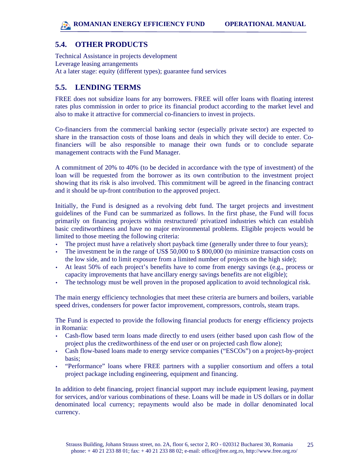## **5.4. OTHER PRODUCTS**

Technical Assistance in projects development Leverage leasing arrangements At a later stage: equity (different types); guarantee fund services

## **5.5. LENDING TERMS**

FREE does not subsidize loans for any borrowers. FREE will offer loans with floating interest rates plus commission in order to price its financial product according to the market level and also to make it attractive for commercial co-financiers to invest in projects.

Co-financiers from the commercial banking sector (especially private sector) are expected to share in the transaction costs of those loans and deals in which they will decide to enter. Cofinanciers will be also responsible to manage their own funds or to conclude separate management contracts with the Fund Manager.

A commitment of 20% to 40% (to be decided in accordance with the type of investment) of the loan will be requested from the borrower as its own contribution to the investment project showing that its risk is also involved. This commitment will be agreed in the financing contract and it should be up-front contribution to the approved project.

Initially, the Fund is designed as a revolving debt fund. The target projects and investment guidelines of the Fund can be summarized as follows. In the first phase, the Fund will focus primarily on financing projects within restructured/ privatized industries which can establish basic creditworthiness and have no major environmental problems. Eligible projects would be limited to those meeting the following criteria:

- The project must have a relatively short payback time (generally under three to four years);
- The investment be in the range of US\$ 50,000 to \$800,000 (to minimize transaction costs on the low side, and to limit exposure from a limited number of projects on the high side);
- At least 50% of each project's benefits have to come from energy savings (e.g., process or capacity improvements that have ancillary energy savings benefits are not eligible);
- The technology must be well proven in the proposed application to avoid technological risk.

The main energy efficiency technologies that meet these criteria are burners and boilers, variable speed drives, condensers for power factor improvement, compressors, controls, steam traps.

The Fund is expected to provide the following financial products for energy efficiency projects in Romania:

- Cash-flow based term loans made directly to end users (either based upon cash flow of the project plus the creditworthiness of the end user or on projected cash flow alone);
- Cash flow-based loans made to energy service companies ("ESCOs") on a project-by-project basis;
- "Performance" loans where FREE partners with a supplier consortium and offers a total project package including engineering, equipment and financing.

In addition to debt financing, project financial support may include equipment leasing, payment for services, and/or various combinations of these. Loans will be made in US dollars or in dollar denominated local currency; repayments would also be made in dollar denominated local currency.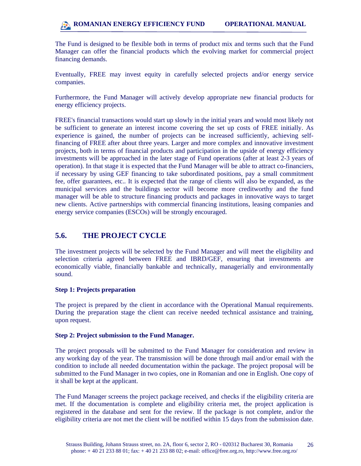The Fund is designed to be flexible both in terms of product mix and terms such that the Fund Manager can offer the financial products which the evolving market for commercial project financing demands.

Eventually, FREE may invest equity in carefully selected projects and/or energy service companies.

Furthermore, the Fund Manager will actively develop appropriate new financial products for energy efficiency projects.

FREE's financial transactions would start up slowly in the initial years and would most likely not be sufficient to generate an interest income covering the set up costs of FREE initially. As experience is gained, the number of projects can be increased sufficiently, achieving selffinancing of FREE after about three years. Larger and more complex and innovative investment projects, both in terms of financial products and participation in the upside of energy efficiency investments will be approached in the later stage of Fund operations (after at least 2-3 years of operation). In that stage it is expected that the Fund Manager will be able to attract co-financiers, if necessary by using GEF financing to take subordinated positions, pay a small commitment fee, offer guarantees, etc.. It is expected that the range of clients will also be expanded, as the municipal services and the buildings sector will become more creditworthy and the fund manager will be able to structure financing products and packages in innovative ways to target new clients. Active partnerships with commercial financing institutions, leasing companies and energy service companies (ESCOs) will be strongly encouraged.

## **5.6. THE PROJECT CYCLE**

The investment projects will be selected by the Fund Manager and will meet the eligibility and selection criteria agreed between FREE and IBRD/GEF, ensuring that investments are economically viable, financially bankable and technically, managerially and environmentally sound.

## **Step 1: Projects preparation**

The project is prepared by the client in accordance with the Operational Manual requirements. During the preparation stage the client can receive needed technical assistance and training, upon request.

#### **Step 2: Project submission to the Fund Manager.**

The project proposals will be submitted to the Fund Manager for consideration and review in any working day of the year. The transmission will be done through mail and/or email with the condition to include all needed documentation within the package. The project proposal will be submitted to the Fund Manager in two copies, one in Romanian and one in English. One copy of it shall be kept at the applicant.

The Fund Manager screens the project package received, and checks if the eligibility criteria are met. If the documentation is complete and eligibility criteria met, the project application is registered in the database and sent for the review. If the package is not complete, and/or the eligibility criteria are not met the client will be notified within 15 days from the submission date.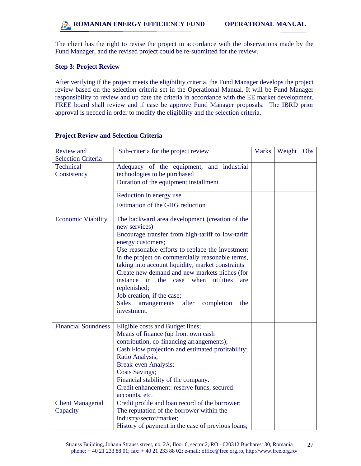The client has the right to revise the project in accordance with the observations made by the Fund Manager, and the revised project could be re-submitted for the review.

#### **Step 3: Project Review**

After verifying if the project meets the eligibility criteria, the Fund Manager develops the project review based on the selection criteria set in the Operational Manual. It will be Fund Manager responsibility to review and up date the criteria in accordance with the EE market development. FREE board shall review and if case be approve Fund Manager proposals. The IBRD prior approval is needed in order to modify the eligibility and the selection criteria.

| Review and                                             | Sub-criteria for the project review                                                                                                                                                                                                                                                                                                                                                                                                                                                                                                 | <b>Marks</b> | Weight | Obs |
|--------------------------------------------------------|-------------------------------------------------------------------------------------------------------------------------------------------------------------------------------------------------------------------------------------------------------------------------------------------------------------------------------------------------------------------------------------------------------------------------------------------------------------------------------------------------------------------------------------|--------------|--------|-----|
| <b>Selection Criteria</b>                              |                                                                                                                                                                                                                                                                                                                                                                                                                                                                                                                                     |              |        |     |
| Technical                                              | Adequacy of the equipment, and industrial                                                                                                                                                                                                                                                                                                                                                                                                                                                                                           |              |        |     |
| Consistency                                            | technologies to be purchased                                                                                                                                                                                                                                                                                                                                                                                                                                                                                                        |              |        |     |
|                                                        | Duration of the equipment installment                                                                                                                                                                                                                                                                                                                                                                                                                                                                                               |              |        |     |
|                                                        | Reduction in energy use                                                                                                                                                                                                                                                                                                                                                                                                                                                                                                             |              |        |     |
|                                                        | Estimation of the GHG reduction                                                                                                                                                                                                                                                                                                                                                                                                                                                                                                     |              |        |     |
| <b>Economic Viability</b>                              | The backward area development (creation of the<br>new services)<br>Encourage transfer from high-tariff to low-tariff<br>energy customers;<br>Use reasonable efforts to replace the investment<br>in the project on commercially reasonable terms,<br>taking into account liquidity, market constraints<br>Create new demand and new markets niches (for<br>the case when<br>utilities<br>instance in<br>are<br>replenished;<br>Job creation, if the case;<br><b>Sales</b><br>arrangements after<br>completion<br>the<br>investment. |              |        |     |
| <b>Financial Soundness</b><br><b>Client Managerial</b> | Eligible costs and Budget lines;<br>Means of finance (up front own cash<br>contribution, co-financing arrangements);<br>Cash Flow projection and estimated profitability;<br>Ratio Analysis;<br><b>Break-even Analysis;</b><br><b>Costs Savings;</b><br>Financial stability of the company.<br>Credit enhancement: reserve funds, secured<br>accounts, etc.<br>Credit profile and loan record of the borrower;                                                                                                                      |              |        |     |
| Capacity                                               | The reputation of the borrower within the<br>industry/sector/market;<br>History of payment in the case of previous loans;                                                                                                                                                                                                                                                                                                                                                                                                           |              |        |     |

#### **Project Review and Selection Criteria**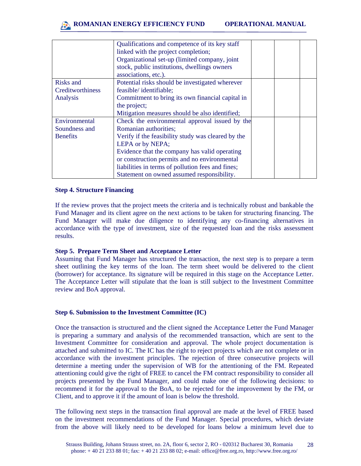|                  | Qualifications and competence of its key staff<br>linked with the project completion;<br>Organizational set-up (limited company, joint<br>stock, public institutions, dwellings owners<br>associations, etc.). |  |  |
|------------------|----------------------------------------------------------------------------------------------------------------------------------------------------------------------------------------------------------------|--|--|
| Risks and        | Potential risks should be investigated wherever                                                                                                                                                                |  |  |
| Creditworthiness | feasible/identifiable;                                                                                                                                                                                         |  |  |
| Analysis         | Commitment to bring its own financial capital in                                                                                                                                                               |  |  |
|                  | the project;                                                                                                                                                                                                   |  |  |
|                  | Mitigation measures should be also identified;                                                                                                                                                                 |  |  |
| Environmental    | Check the environmental approval issued by the                                                                                                                                                                 |  |  |
| Soundness and    | Romanian authorities;                                                                                                                                                                                          |  |  |
| <b>Benefits</b>  | Verify if the feasibility study was cleared by the                                                                                                                                                             |  |  |
|                  | LEPA or by NEPA;                                                                                                                                                                                               |  |  |
|                  | Evidence that the company has valid operating                                                                                                                                                                  |  |  |
|                  | or construction permits and no environmental                                                                                                                                                                   |  |  |
|                  | liabilities in terms of pollution fees and fines;                                                                                                                                                              |  |  |
|                  | Statement on owned assumed responsibility.                                                                                                                                                                     |  |  |

#### **Step 4. Structure Financing**

If the review proves that the project meets the criteria and is technically robust and bankable the Fund Manager and its client agree on the next actions to be taken for structuring financing. The Fund Manager will make due diligence to identifying any co-financing alternatives in accordance with the type of investment, size of the requested loan and the risks assessment results.

## **Step 5. Prepare Term Sheet and Acceptance Letter**

Assuming that Fund Manager has structured the transaction, the next step is to prepare a term sheet outlining the key terms of the loan. The term sheet would be delivered to the client (borrower) for acceptance. Its signature will be required in this stage on the Acceptance Letter. The Acceptance Letter will stipulate that the loan is still subject to the Investment Committee review and BoA approval.

## **Step 6. Submission to the Investment Committee (IC)**

Once the transaction is structured and the client signed the Acceptance Letter the Fund Manager is preparing a summary and analysis of the recommended transaction, which are sent to the Investment Committee for consideration and approval. The whole project documentation is attached and submitted to IC. The IC has the right to reject projects which are not complete or in accordance with the investment principles. The rejection of three consecutive projects will determine a meeting under the supervision of WB for the attentioning of the FM. Repeated attentioning could give the right of FREE to cancel the FM contract responsibility to consider all projects presented by the Fund Manager, and could make one of the following decisions: to recommend it for the approval to the BoA, to be rejected for the improvement by the FM, or Client, and to approve it if the amount of loan is below the threshold.

The following next steps in the transaction final approval are made at the level of FREE based on the investment recommendations of the Fund Manager. Special procedures, which deviate from the above will likely need to be developed for loans below a minimum level due to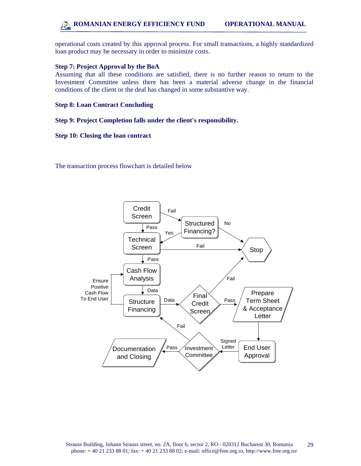operational costs created by this approval process. For small transactions, a highly standardized loan product may be necessary in order to minimize costs.

#### **Step 7: Project Approval by the BoA**

Assuming that all these conditions are satisfied, there is no further reason to return to the Investment Committee unless there has been a material adverse change in the financial conditions of the client or the deal has changed in some substantive way.

#### **Step 8: Loan Contract Concluding**

#### **Step 9: Project Completion falls under the client's responsibility.**

#### **Step 10: Closing the loan contract**

The transaction process flowchart is detailed below

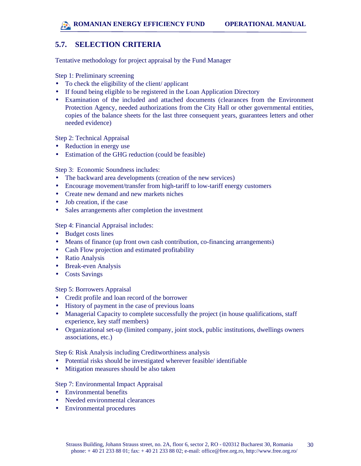## **5.7. SELECTION CRITERIA**

Tentative methodology for project appraisal by the Fund Manager

Step 1: Preliminary screening

- To check the eligibility of the client/ applicant
- If found being eligible to be registered in the Loan Application Directory
- Examination of the included and attached documents (clearances from the Environment Protection Agency, needed authorizations from the City Hall or other governmental entities, copies of the balance sheets for the last three consequent years, guarantees letters and other needed evidence)

Step 2: Technical Appraisal

- Reduction in energy use
- Estimation of the GHG reduction (could be feasible)

Step 3: Economic Soundness includes:

- The backward area developments (creation of the new services)
- Encourage movement/transfer from high-tariff to low-tariff energy customers
- Create new demand and new markets niches
- Job creation, if the case
- Sales arrangements after completion the investment

Step 4: Financial Appraisal includes:

- Budget costs lines
- Means of finance (up front own cash contribution, co-financing arrangements)
- Cash Flow projection and estimated profitability
- Ratio Analysis
- Break-even Analysis
- Costs Savings

#### Step 5: Borrowers Appraisal

- Credit profile and loan record of the borrower
- History of payment in the case of previous loans
- Managerial Capacity to complete successfully the project (in house qualifications, staff experience, key staff members)
- Organizational set-up (limited company, joint stock, public institutions, dwellings owners associations, etc.)

#### Step 6: Risk Analysis including Creditworthiness analysis

- Potential risks should be investigated wherever feasible/identifiable
- Mitigation measures should be also taken

#### Step 7: Environmental Impact Appraisal

- Environmental benefits
- Needed environmental clearances
- Environmental procedures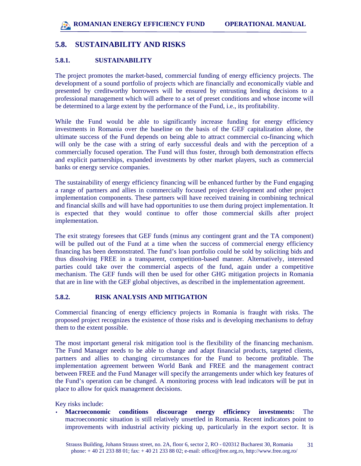## **5.8. SUSTAINABILITY AND RISKS**

#### **5.8.1. SUSTAINABILITY**

The project promotes the market-based, commercial funding of energy efficiency projects. The development of a sound portfolio of projects which are financially and economically viable and presented by creditworthy borrowers will be ensured by entrusting lending decisions to a professional management which will adhere to a set of preset conditions and whose income will be determined to a large extent by the performance of the Fund, i.e., its profitability.

While the Fund would be able to significantly increase funding for energy efficiency investments in Romania over the baseline on the basis of the GEF capitalization alone, the ultimate success of the Fund depends on being able to attract commercial co-financing which will only be the case with a string of early successful deals and with the perception of a commercially focused operation. The Fund will thus foster, through both demonstration effects and explicit partnerships, expanded investments by other market players, such as commercial banks or energy service companies.

The sustainability of energy efficiency financing will be enhanced further by the Fund engaging a range of partners and allies in commercially focused project development and other project implementation components. These partners will have received training in combining technical and financial skills and will have had opportunities to use them during project implementation. It is expected that they would continue to offer those commercial skills after project implementation.

The exit strategy foresees that GEF funds (minus any contingent grant and the TA component) will be pulled out of the Fund at a time when the success of commercial energy efficiency financing has been demonstrated. The fund's loan portfolio could be sold by soliciting bids and thus dissolving FREE in a transparent, competition-based manner. Alternatively, interested parties could take over the commercial aspects of the fund, again under a competitive mechanism. The GEF funds will then be used for other GHG mitigation projects in Romania that are in line with the GEF global objectives, as described in the implementation agreement.

#### **5.8.2. RISK ANALYSIS AND MITIGATION**

Commercial financing of energy efficiency projects in Romania is fraught with risks. The proposed project recognizes the existence of those risks and is developing mechanisms to defray them to the extent possible.

The most important general risk mitigation tool is the flexibility of the financing mechanism. The Fund Manager needs to be able to change and adapt financial products, targeted clients, partners and allies to changing circumstances for the Fund to become profitable. The implementation agreement between World Bank and FREE and the management contract between FREE and the Fund Manager will specify the arrangements under which key features of the Fund's operation can be changed. A monitoring process with lead indicators will be put in place to allow for quick management decisions.

Key risks include:

• **Macroeconomic conditions discourage energy efficiency investments:** The macroeconomic situation is still relatively unsettled in Romania. Recent indicators point to improvements with industrial activity picking up, particularly in the export sector. It is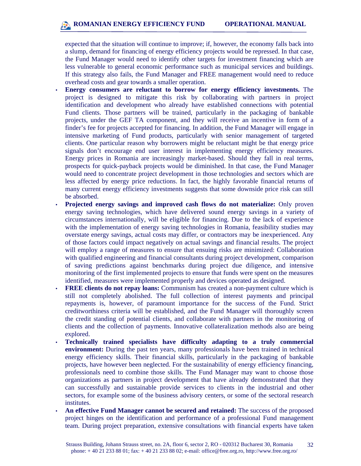expected that the situation will continue to improve; if, however, the economy falls back into a slump, demand for financing of energy efficiency projects would be repressed. In that case, the Fund Manager would need to identify other targets for investment financing which are less vulnerable to general economic performance such as municipal services and buildings. If this strategy also fails, the Fund Manager and FREE management would need to reduce overhead costs and gear towards a smaller operation.

- **Energy consumers are reluctant to borrow for energy efficiency investments.** The project is designed to mitigate this risk by collaborating with partners in project identification and development who already have established connections with potential Fund clients. Those partners will be trained, particularly in the packaging of bankable projects, under the GEF TA component, and they will receive an incentive in form of a finder's fee for projects accepted for financing. In addition, the Fund Manager will engage in intensive marketing of Fund products, particularly with senior management of targeted clients. One particular reason why borrowers might be reluctant might be that energy price signals don't encourage end user interest in implementing energy efficiency measures. Energy prices in Romania are increasingly market-based. Should they fall in real terms, prospects for quick-payback projects would be diminished. In that case, the Fund Manager would need to concentrate project development in those technologies and sectors which are less affected by energy price reductions. In fact, the highly favorable financial returns of many current energy efficiency investments suggests that some downside price risk can still be absorbed.
- **Projected energy savings and improved cash flows do not materialize:** Only proven energy saving technologies, which have delivered sound energy savings in a variety of circumstances internationally, will be eligible for financing. Due to the lack of experience with the implementation of energy saving technologies in Romania, feasibility studies may overstate energy savings, actual costs may differ, or contractors may be inexperienced. Any of those factors could impact negatively on actual savings and financial results. The project will employ a range of measures to ensure that ensuing risks are minimized: Collaboration with qualified engineering and financial consultants during project development, comparison of saving predictions against benchmarks during project due diligence, and intensive monitoring of the first implemented projects to ensure that funds were spent on the measures identified, measures were implemented properly and devices operated as designed.
- **FREE clients do not repay loans:** Communism has created a non-payment culture which is still not completely abolished. The full collection of interest payments and principal repayments is, however, of paramount importance for the success of the Fund. Strict creditworthiness criteria will be established, and the Fund Manager will thoroughly screen the credit standing of potential clients, and collaborate with partners in the monitoring of clients and the collection of payments. Innovative collateralization methods also are being explored.
- **Technically trained specialists have difficulty adapting to a truly commercial environment:** During the past ten years, many professionals have been trained in technical energy efficiency skills. Their financial skills, particularly in the packaging of bankable projects, have however been neglected. For the sustainability of energy efficiency financing, professionals need to combine those skills. The Fund Manager may want to choose those organizations as partners in project development that have already demonstrated that they can successfully and sustainable provide services to clients in the industrial and other sectors, for example some of the business advisory centers, or some of the sectoral research institutes.
- **An effective Fund Manager cannot be secured and retained:** The success of the proposed project hinges on the identification and performance of a professional Fund management team. During project preparation, extensive consultations with financial experts have taken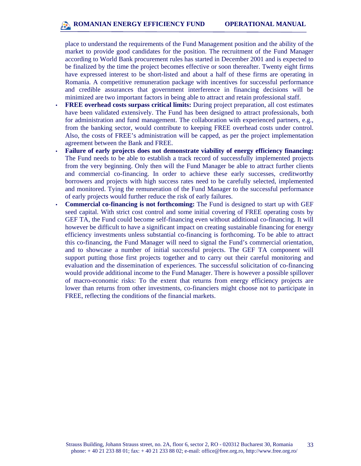place to understand the requirements of the Fund Management position and the ability of the market to provide good candidates for the position. The recruitment of the Fund Manager according to World Bank procurement rules has started in December 2001 and is expected to be finalized by the time the project becomes effective or soon thereafter. Twenty eight firms have expressed interest to be short-listed and about a half of these firms are operating in Romania. A competitive remuneration package with incentives for successful performance and credible assurances that government interference in financing decisions will be minimized are two important factors in being able to attract and retain professional staff.

- **FREE overhead costs surpass critical limits:** During project preparation, all cost estimates have been validated extensively. The Fund has been designed to attract professionals, both for administration and fund management. The collaboration with experienced partners, e.g., from the banking sector, would contribute to keeping FREE overhead costs under control. Also, the costs of FREE's administration will be capped, as per the project implementation agreement between the Bank and FREE.
- **Failure of early projects does not demonstrate viability of energy efficiency financing:** The Fund needs to be able to establish a track record of successfully implemented projects from the very beginning. Only then will the Fund Manager be able to attract further clients and commercial co-financing. In order to achieve these early successes, creditworthy borrowers and projects with high success rates need to be carefully selected, implemented and monitored. Tying the remuneration of the Fund Manager to the successful performance of early projects would further reduce the risk of early failures.
- **Commercial co-financing is not forthcoming:** The Fund is designed to start up with GEF seed capital. With strict cost control and some initial covering of FREE operating costs by GEF TA, the Fund could become self-financing even without additional co-financing. It will however be difficult to have a significant impact on creating sustainable financing for energy efficiency investments unless substantial co-financing is forthcoming. To be able to attract this co-financing, the Fund Manager will need to signal the Fund's commercial orientation, and to showcase a number of initial successful projects. The GEF TA component will support putting those first projects together and to carry out their careful monitoring and evaluation and the dissemination of experiences. The successful solicitation of co-financing would provide additional income to the Fund Manager. There is however a possible spillover of macro-economic risks: To the extent that returns from energy efficiency projects are lower than returns from other investments, co-financiers might choose not to participate in FREE, reflecting the conditions of the financial markets.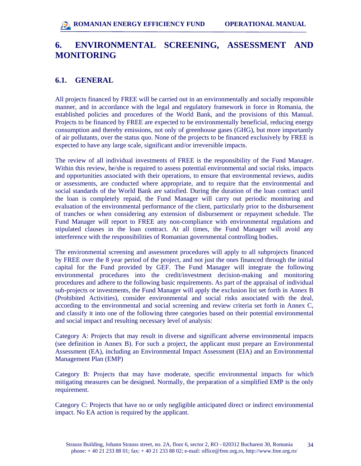# **6. ENVIRONMENTAL SCREENING, ASSESSMENT AND MONITORING**

## **6.1. GENERAL**

All projects financed by FREE will be carried out in an environmentally and socially responsible manner, and in accordance with the legal and regulatory framework in force in Romania, the established policies and procedures of the World Bank, and the provisions of this Manual. Projects to be financed by FREE are expected to be environmentally beneficial, reducing energy consumption and thereby emissions, not only of greenhouse gases (GHG), but more importantly of air pollutants, over the status quo. None of the projects to be financed exclusively by FREE is expected to have any large scale, significant and/or irreversible impacts.

The review of all individual investments of FREE is the responsibility of the Fund Manager. Within this review, he/she is required to assess potential environmental and social risks, impacts and opportunities associated with their operations, to ensure that environmental reviews, audits or assessments, are conducted where appropriate, and to require that the environmental and social standards of the World Bank are satisfied. During the duration of the loan contract until the loan is completely repaid, the Fund Manager will carry out periodic monitoring and evaluation of the environmental performance of the client, particularly prior to the disbursement of tranches or when considering any extension of disbursement or repayment schedule. The Fund Manager will report to FREE any non-compliance with environmental regulations and stipulated clauses in the loan contract. At all times, the Fund Manager will avoid any interference with the responsibilities of Romanian governmental controlling bodies.

The environmental screening and assessment procedures will apply to all subprojects financed by FREE over the 8 year period of the project, and not just the ones financed through the initial capital for the Fund provided by GEF. The Fund Manager will integrate the following environmental procedures into the credit/investment decision-making and monitoring procedures and adhere to the following basic requirements. As part of the appraisal of individual sub-projects or investments, the Fund Manager will apply the exclusion list set forth in Annex B (Prohibited Activities), consider environmental and social risks associated with the deal, according to the environmental and social screening and review criteria set forth in Annex C, and classify it into one of the following three categories based on their potential environmental and social impact and resulting necessary level of analysis:

Category A: Projects that may result in diverse and significant adverse environmental impacts (see definition in Annex B). For such a project, the applicant must prepare an Environmental Assessment (EA), including an Environmental Impact Assessment (EIA) and an Environmental Management Plan (EMP)

Category B: Projects that may have moderate, specific environmental impacts for which mitigating measures can be designed. Normally, the preparation of a simplified EMP is the only requirement.

Category C: Projects that have no or only negligible anticipated direct or indirect environmental impact. No EA action is required by the applicant.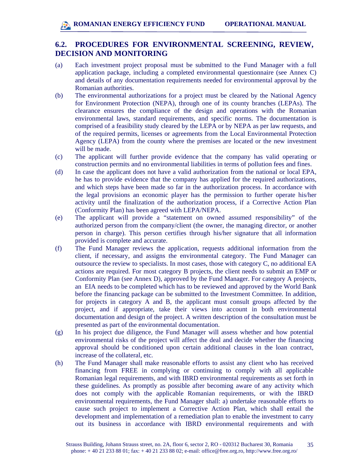## **6.2. PROCEDURES FOR ENVIRONMENTAL SCREENING, REVIEW, DECISION AND MONITORING**

- (a) Each investment project proposal must be submitted to the Fund Manager with a full application package, including a completed environmental questionnaire (see Annex C) and details of any documentation requirements needed for environmental approval by the Romanian authorities.
- (b) The environmental authorizations for a project must be cleared by the National Agency for Environment Protection (NEPA), through one of its county branches (LEPAs). The clearance ensures the compliance of the design and operations with the Romanian environmental laws, standard requirements, and specific norms. The documentation is comprised of a feasibility study cleared by the LEPA or by NEPA as per law requests, and of the required permits, licenses or agreements from the Local Environmental Protection Agency (LEPA) from the county where the premises are located or the new investment will be made.
- (c) The applicant will further provide evidence that the company has valid operating or construction permits and no environmental liabilities in terms of pollution fees and fines.
- (d) In case the applicant does not have a valid authorization from the national or local EPA, he has to provide evidence that the company has applied for the required authorizations, and which steps have been made so far in the authorization process. In accordance with the legal provisions an economic player has the permission to further operate his/her activity until the finalization of the authorization process, if a Corrective Action Plan (Conformity Plan) has been agreed with LEPA/NEPA.
- (e) The applicant will provide a "statement on owned assumed responsibility" of the authorized person from the company/client (the owner, the managing director, or another person in charge). This person certifies through his/her signature that all information provided is complete and accurate.
- (f) The Fund Manager reviews the application, requests additional information from the client, if necessary, and assigns the environmental category. The Fund Manager can outsource the review to specialists. In most cases, those with category C, no additional EA actions are required. For most category B projects, the client needs to submit an EMP or Conformity Plan (see Annex D), approved by the Fund Manager. For category A projects, an EIA needs to be completed which has to be reviewed and approved by the World Bank before the financing package can be submitted to the Investment Committee. In addition, for projects in category A and B, the applicant must consult groups affected by the project, and if appropriate, take their views into account in both environmental documentation and design of the project. A written description of the consultation must be presented as part of the environmental documentation.
- (g) In his project due diligence, the Fund Manager will assess whether and how potential environmental risks of the project will affect the deal and decide whether the financing approval should be conditioned upon certain additional clauses in the loan contract, increase of the collateral, etc.
- (h) The Fund Manager shall make reasonable efforts to assist any client who has received financing from FREE in complying or continuing to comply with all applicable Romanian legal requirements, and with IBRD environmental requirements as set forth in these guidelines. As promptly as possible after becoming aware of any activity which does not comply with the applicable Romanian requirements, or with the IBRD environmental requirements, the Fund Manager shall: a) undertake reasonable efforts to cause such project to implement a Corrective Action Plan, which shall entail the development and implementation of a remediation plan to enable the investment to carry out its business in accordance with IBRD environmental requirements and with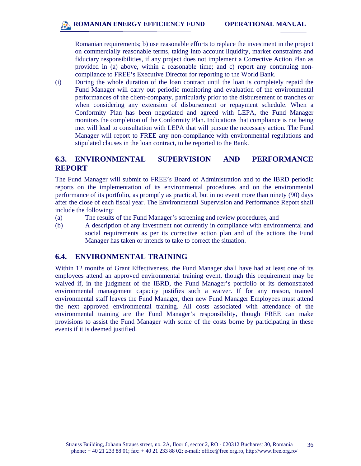Romanian requirements; b) use reasonable efforts to replace the investment in the project on commercially reasonable terms, taking into account liquidity, market constraints and fiduciary responsibilities, if any project does not implement a Corrective Action Plan as provided in (a) above, within a reasonable time; and c) report any continuing noncompliance to FREE's Executive Director for reporting to the World Bank.

(i) During the whole duration of the loan contract until the loan is completely repaid the Fund Manager will carry out periodic monitoring and evaluation of the environmental performances of the client-company, particularly prior to the disbursement of tranches or when considering any extension of disbursement or repayment schedule. When a Conformity Plan has been negotiated and agreed with LEPA, the Fund Manager monitors the completion of the Conformity Plan. Indications that compliance is not being met will lead to consultation with LEPA that will pursue the necessary action. The Fund Manager will report to FREE any non-compliance with environmental regulations and stipulated clauses in the loan contract, to be reported to the Bank.

## **6.3. ENVIRONMENTAL SUPERVISION AND PERFORMANCE REPORT**

The Fund Manager will submit to FREE's Board of Administration and to the IBRD periodic reports on the implementation of its environmental procedures and on the environmental performance of its portfolio, as promptly as practical, but in no event more than ninety (90) days after the close of each fiscal year. The Environmental Supervision and Performance Report shall include the following:

- (a) The results of the Fund Manager's screening and review procedures, and
- (b) A description of any investment not currently in compliance with environmental and social requirements as per its corrective action plan and of the actions the Fund Manager has taken or intends to take to correct the situation.

## **6.4. ENVIRONMENTAL TRAINING**

Within 12 months of Grant Effectiveness, the Fund Manager shall have had at least one of its employees attend an approved environmental training event, though this requirement may be waived if, in the judgment of the IBRD, the Fund Manager's portfolio or its demonstrated environmental management capacity justifies such a waiver. If for any reason, trained environmental staff leaves the Fund Manager, then new Fund Manager Employees must attend the next approved environmental training. All costs associated with attendance of the environmental training are the Fund Manager's responsibility, though FREE can make provisions to assist the Fund Manager with some of the costs borne by participating in these events if it is deemed justified.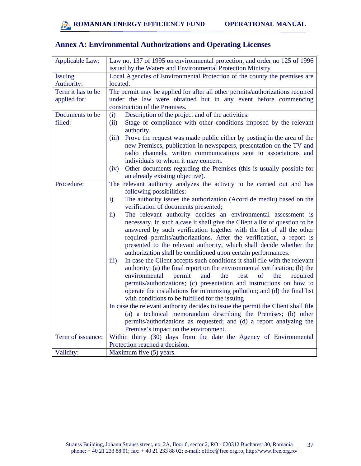| <b>Applicable Law:</b> | Law no. 137 of 1995 on environmental protection, and order no 125 of 1996<br>issued by the Waters and Environmental Protection Ministry |
|------------------------|-----------------------------------------------------------------------------------------------------------------------------------------|
| Issuing                | Local Agencies of Environmental Protection of the county the premises are                                                               |
| Authority:             | located.                                                                                                                                |
| Term it has to be      | The permit may be applied for after all other permits/authorizations required                                                           |
| applied for:           | under the law were obtained but in any event before commencing                                                                          |
|                        | construction of the Premises.                                                                                                           |
| Documents to be        | Description of the project and of the activities.<br>(i)                                                                                |
| filled:                | Stage of compliance with other conditions imposed by the relevant<br>(ii)                                                               |
|                        | authority.                                                                                                                              |
|                        | Prove the request was made public either by posting in the area of the<br>(iii)                                                         |
|                        | new Premises, publication in newspapers, presentation on the TV and                                                                     |
|                        | radio channels, written communications sent to associations and                                                                         |
|                        | individuals to whom it may concern.                                                                                                     |
|                        | Other documents regarding the Premises (this is usually possible for<br>(iv)                                                            |
|                        | an already existing objective).                                                                                                         |
| Procedure:             | The relevant authority analyzes the activity to be carried out and has                                                                  |
|                        | following possibilities:                                                                                                                |
|                        | The authority issues the authorization (Acord de mediu) based on the<br>$\mathbf{i}$                                                    |
|                        | verification of documents presented;                                                                                                    |
|                        | The relevant authority decides an environmental assessment is<br>$\ddot{\textbf{i}}$                                                    |
|                        | necessary. In such a case it shall give the Client a list of question to be                                                             |
|                        | answered by such verification together with the list of all the other                                                                   |
|                        | required permits/authorizations. After the verification, a report is                                                                    |
|                        | presented to the relevant authority, which shall decide whether the                                                                     |
|                        | authorization shall be conditioned upon certain performances.                                                                           |
|                        | In case the Client accepts such conditions it shall file with the relevant<br>iii)                                                      |
|                        | authority: (a) the final report on the environmental verification; (b) the                                                              |
|                        | environmental<br>permit<br>and<br>the<br>of<br>required<br>rest<br>the                                                                  |
|                        | permits/authorizations; (c) presentation and instructions on how to                                                                     |
|                        | operate the installations for minimizing pollution; and (d) the final list                                                              |
|                        | with conditions to be fulfilled for the issuing                                                                                         |
|                        | In case the relevant authority decides to issue the permit the Client shall file                                                        |
|                        | (a) a technical memorandum describing the Premises; (b) other                                                                           |
|                        | permits/authorizations as requested; and (d) a report analyzing the                                                                     |
|                        | Premise's impact on the environment.                                                                                                    |
| Term of issuance:      | Within thirty (30) days from the date the Agency of Environmental                                                                       |
|                        | Protection reached a decision.                                                                                                          |
| Validity:              | Maximum five (5) years.                                                                                                                 |

## **Annex A: Environmental Authorizations and Operating Licenses**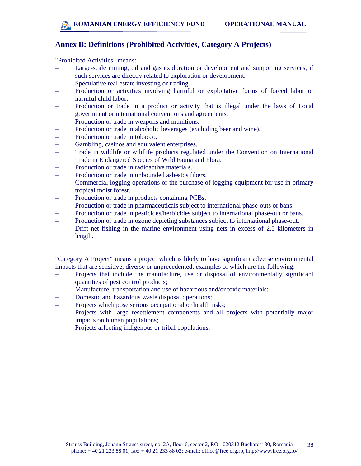## **Annex B: Definitions (Prohibited Activities, Category A Projects)**

"Prohibited Activities" means:

- Large-scale mining, oil and gas exploration or development and supporting services, if such services are directly related to exploration or development.
- Speculative real estate investing or trading.
- Production or activities involving harmful or exploitative forms of forced labor or harmful child labor.
- Production or trade in a product or activity that is illegal under the laws of Local government or international conventions and agreements.
- Production or trade in weapons and munitions.
- Production or trade in alcoholic beverages (excluding beer and wine).
- Production or trade in tobacco.
- Gambling, casinos and equivalent enterprises.
- Trade in wildlife or wildlife products regulated under the Convention on International Trade in Endangered Species of Wild Fauna and Flora.
- Production or trade in radioactive materials.
- Production or trade in unbounded asbestos fibers.
- Commercial logging operations or the purchase of logging equipment for use in primary tropical moist forest.
- Production or trade in products containing PCBs.
- Production or trade in pharmaceuticals subject to international phase-outs or bans.
- Production or trade in pesticides/herbicides subject to international phase-out or bans.
- Production or trade in ozone depleting substances subject to international phase-out.
- Drift net fishing in the marine environment using nets in excess of 2.5 kilometers in length.

"Category A Project" means a project which is likely to have significant adverse environmental impacts that are sensitive, diverse or unprecedented, examples of which are the following:

- Projects that include the manufacture, use or disposal of environmentally significant quantities of pest control products;
- Manufacture, transportation and use of hazardous and/or toxic materials;
- Domestic and hazardous waste disposal operations;
- Projects which pose serious occupational or health risks;
- Projects with large resettlement components and all projects with potentially major impacts on human populations;
- Projects affecting indigenous or tribal populations.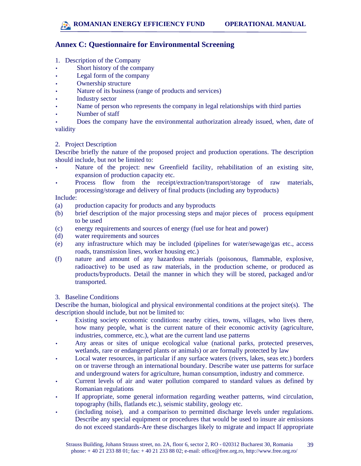## **Annex C: Questionnaire for Environmental Screening**

- 1. Description of the Company
- Short history of the company
- Legal form of the company
- Ownership structure
- Nature of its business (range of products and services)
- Industry sector
- Name of person who represents the company in legal relationships with third parties
- Number of staff

• Does the company have the environmental authorization already issued, when, date of validity

## 2. Project Description

Describe briefly the nature of the proposed project and production operations. The description should include, but not be limited to:

- Nature of the project: new Greenfield facility, rehabilitation of an existing site, expansion of production capacity etc.
- Process flow from the receipt/extraction/transport/storage of raw materials, processing/storage and delivery of final products (including any byproducts)

Include:

- (a) production capacity for products and any byproducts
- (b) brief description of the major processing steps and major pieces of process equipment to be used
- (c) energy requirements and sources of energy (fuel use for heat and power)
- (d) water requirements and sources
- (e) any infrastructure which may be included (pipelines for water/sewage/gas etc., access roads, transmission lines, worker housing etc.)
- (f) nature and amount of any hazardous materials (poisonous, flammable, explosive, radioactive) to be used as raw materials, in the production scheme, or produced as products/byproducts. Detail the manner in which they will be stored, packaged and/or transported.

## 3. Baseline Conditions

Describe the human, biological and physical environmental conditions at the project site(s). The description should include, but not be limited to:

- Existing society economic conditions: nearby cities, towns, villages, who lives there, how many people, what is the current nature of their economic activity (agriculture, industries, commerce, etc.), what are the current land use patterns
- Any areas or sites of unique ecological value (national parks, protected preserves, wetlands, rare or endangered plants or animals) or are formally protected by law
- Local water resources, in particular if any surface waters (rivers, lakes, seas etc.) borders on or traverse through an international boundary. Describe water use patterns for surface and underground waters for agriculture, human consumption, industry and commerce.
- Current levels of air and water pollution compared to standard values as defined by Romanian regulations
- If appropriate, some general information regarding weather patterns, wind circulation, topography (hills, flatlands etc.), seismic stability, geology etc.
- (including noise), and a comparison to permitted discharge levels under regulations. Describe any special equipment or procedures that would be used to insure air emissions do not exceed standards-Are these discharges likely to migrate and impact If appropriate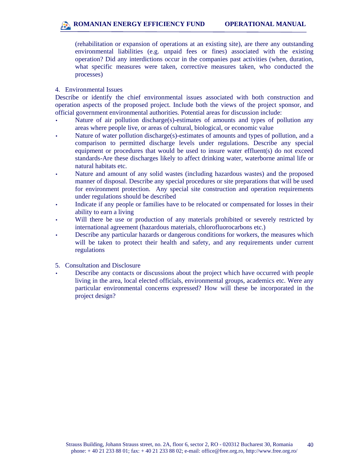(rehabilitation or expansion of operations at an existing site), are there any outstanding environmental liabilities (e.g. unpaid fees or fines) associated with the existing operation? Did any interdictions occur in the companies past activities (when, duration, what specific measures were taken, corrective measures taken, who conducted the processes)

#### 4. Environmental Issues

Describe or identify the chief environmental issues associated with both construction and operation aspects of the proposed project. Include both the views of the project sponsor, and official government environmental authorities. Potential areas for discussion include:

- Nature of air pollution discharge(s)-estimates of amounts and types of pollution any areas where people live, or areas of cultural, biological, or economic value
- Nature of water pollution discharge(s)-estimates of amounts and types of pollution, and a comparison to permitted discharge levels under regulations. Describe any special equipment or procedures that would be used to insure water effluent(s) do not exceed standards-Are these discharges likely to affect drinking water, waterborne animal life or natural habitats etc.
- Nature and amount of any solid wastes (including hazardous wastes) and the proposed manner of disposal. Describe any special procedures or site preparations that will be used for environment protection. Any special site construction and operation requirements under regulations should be described
- Indicate if any people or families have to be relocated or compensated for losses in their ability to earn a living
- Will there be use or production of any materials prohibited or severely restricted by international agreement (hazardous materials, chlorofluorocarbons etc.)
- Describe any particular hazards or dangerous conditions for workers, the measures which will be taken to protect their health and safety, and any requirements under current regulations
- 5. Consultation and Disclosure
- Describe any contacts or discussions about the project which have occurred with people living in the area, local elected officials, environmental groups, academics etc. Were any particular environmental concerns expressed? How will these be incorporated in the project design?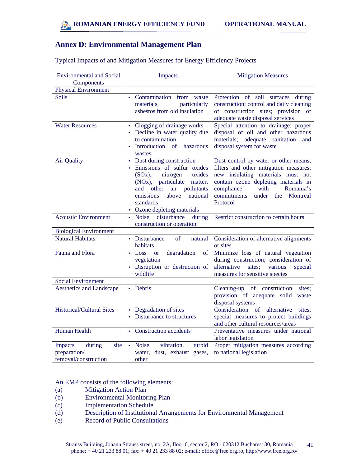## **Annex D: Environmental Management Plan**

| <b>Environmental and Social</b><br>Components                            | <b>Impacts</b>                                                                                                                                                                                                                                            | <b>Mitigation Measures</b>                                                                                                                                                                                                                             |
|--------------------------------------------------------------------------|-----------------------------------------------------------------------------------------------------------------------------------------------------------------------------------------------------------------------------------------------------------|--------------------------------------------------------------------------------------------------------------------------------------------------------------------------------------------------------------------------------------------------------|
| <b>Physical Environment</b>                                              |                                                                                                                                                                                                                                                           |                                                                                                                                                                                                                                                        |
| <b>Soils</b>                                                             | Contamination from<br>waste<br>$\bullet$<br>materials,<br>particularly<br>asbestos from old insulation                                                                                                                                                    | Protection of soil surfaces during<br>construction; control and daily cleaning<br>of construction sites; provision of<br>adequate waste disposal services                                                                                              |
| <b>Water Resources</b>                                                   | • Clogging of drainage works<br>Decline in water quality due<br>to contamination<br>• Introduction<br>of<br>hazardous<br>wastes                                                                                                                           | Special attention to drainage; proper<br>disposal of oil and other hazardous<br>materials; adequate sanitation<br>and<br>disposal system for waste                                                                                                     |
| <b>Air Quality</b>                                                       | • Dust during construction<br>Emissions of sulfur oxides<br>oxides<br>(SOx),<br>nitrogen<br>(NO <sub>x</sub> ), particulate<br>matter,<br>pollutants<br>other<br>air<br>and<br>national<br>emissions<br>above<br>standards<br>• Ozone depleting materials | Dust control by water or other means;<br>filters and other mitigation measures;<br>new insulating materials must not<br>contain ozone depleting materials in<br>with<br>compliance<br>Romania's<br>commitments<br>under<br>the<br>Montreal<br>Protocol |
| <b>Acoustic Environment</b>                                              | disturbance<br>during<br><b>Noise</b><br>construction or operation                                                                                                                                                                                        | Restrict construction to certain hours                                                                                                                                                                                                                 |
| <b>Biological Environment</b>                                            |                                                                                                                                                                                                                                                           |                                                                                                                                                                                                                                                        |
| <b>Natural Habitats</b>                                                  | Disturbance<br>$\sigma$ f<br>natural<br>habitats                                                                                                                                                                                                          | Consideration of alternative alignments<br>or sites                                                                                                                                                                                                    |
| Fauna and Flora                                                          | Loss<br>degradation<br>of<br>$\bullet$<br><b>or</b><br>vegetation<br>• Disruption or destruction of<br>wildlife                                                                                                                                           | Minimize loss of natural vegetation<br>during construction; consideration of<br>sites;<br>various<br>alternative<br>special<br>measures for sensitive species                                                                                          |
| <b>Social Environment</b>                                                |                                                                                                                                                                                                                                                           |                                                                                                                                                                                                                                                        |
| <b>Aesthetics and Landscape</b>                                          | Debris                                                                                                                                                                                                                                                    | Cleaning-up of construction<br>sites;<br>provision of adequate solid<br>waste<br>disposal systems                                                                                                                                                      |
| <b>Historical/Cultural Sites</b>                                         | Degradation of sites<br>Disturbance to structures                                                                                                                                                                                                         | Consideration<br>of<br>alternative<br>sites;<br>special measures to protect buildings<br>and other cultural resources/areas                                                                                                                            |
| Human Health                                                             | <b>Construction accidents</b><br>$\bullet$                                                                                                                                                                                                                | Preventative measures under national<br>labor legislation                                                                                                                                                                                              |
| <b>Impacts</b><br>during<br>site<br>preparation/<br>removal/construction | vibration,<br>Noise,<br>turbid<br>$\bullet$<br>water, dust, exhaust gases,<br>other                                                                                                                                                                       | Proper mitigation measures according<br>to national legislation                                                                                                                                                                                        |

Typical Impacts of and Mitigation Measures for Energy Efficiency Projects

An EMP consists of the following elements:

- (a) Mitigation Action Plan
- (b) Environmental Monitoring Plan
- (c) Implementation Schedule
- (d) Description of Institutional Arrangements for Environmental Management
- (e) Record of Public Consultations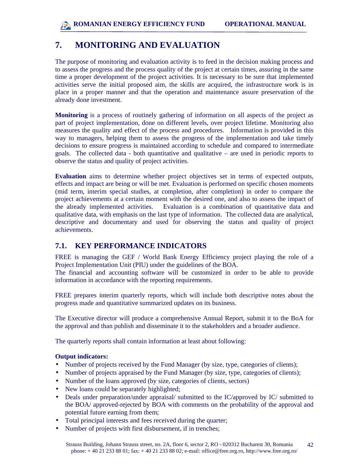# **7. MONITORING AND EVALUATION**

The purpose of monitoring and evaluation activity is to feed in the decision making process and to assess the progress and the process quality of the project at certain times, assuring in the same time a proper development of the project activities. It is necessary to be sure that implemented activities serve the initial proposed aim, the skills are acquired, the infrastructure work is in place in a proper manner and that the operation and maintenance assure preservation of the already done investment.

**Monitoring** is a process of routinely gathering of information on all aspects of the project as part of project implementation, done on different levels, over project lifetime. Monitoring also measures the quality and effect of the process and procedures. Information is provided in this way to managers, helping them to assess the progress of the implementation and take timely decisions to ensure progress is maintained according to schedule and compared to intermediate goals. The collected data - both quantitative and qualitative – are used in periodic reports to observe the status and quality of project activities.

**Evaluation** aims to determine whether project objectives set in terms of expected outputs, effects and impact are being or will be met. Evaluation is performed on specific chosen moments (mid term, interim special studies, at completion, after completion) in order to compare the project achievements at a certain moment with the desired one, and also to assess the impact of the already implemented activities. Evaluation is a combination of quantitative data and qualitative data, with emphasis on the last type of information. The collected data are analytical, descriptive and documentary and used for observing the status and quality of project achievements.

## **7.1. KEY PERFORMANCE INDICATORS**

FREE is managing the GEF / World Bank Energy Efficiency project playing the role of a Project Implementation Unit (PIU) under the guidelines of the BOA.

The financial and accounting software will be customized in order to be able to provide information in accordance with the reporting requirements.

FREE prepares interim quarterly reports, which will include both descriptive notes about the progress made and quantitative summarized updates on its business.

The Executive director will produce a comprehensive Annual Report, submit it to the BoA for the approval and than publish and disseminate it to the stakeholders and a broader audience.

The quarterly reports shall contain information at least about following:

#### **Output indicators:**

- Number of projects received by the Fund Manager (by size, type, categories of clients);
- Number of projects appraised by the Fund Manager (by size, type, categories of clients);
- Number of the loans approved (by size, categories of clients, sectors)
- New loans could be separately highlighted;
- Deals under preparation/under appraisal/ submitted to the IC/approved by IC/ submitted to the BOA/ approved-rejected by BOA with comments on the probability of the approval and potential future earning from them;
- Total principal interests and fees received during the quarter;
- Number of projects with first disbursement, if in trenches;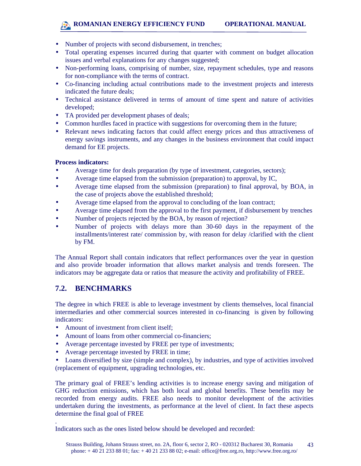- Number of projects with second disbursement, in trenches;
- Total operating expenses incurred during that quarter with comment on budget allocation issues and verbal explanations for any changes suggested;
- Non-performing loans, comprising of number, size, repayment schedules, type and reasons for non-compliance with the terms of contract.
- Co-financing including actual contributions made to the investment projects and interests indicated the future deals;
- Technical assistance delivered in terms of amount of time spent and nature of activities developed;
- TA provided per development phases of deals;
- Common hurdles faced in practice with suggestions for overcoming them in the future;
- Relevant news indicating factors that could affect energy prices and thus attractiveness of energy savings instruments, and any changes in the business environment that could impact demand for EE projects.

#### **Process indicators:**

- Average time for deals preparation (by type of investment, categories, sectors);
- Average time elapsed from the submission (preparation) to approval, by IC,
- Average time elapsed from the submission (preparation) to final approval, by BOA, in the case of projects above the established threshold;
- Average time elapsed from the approval to concluding of the loan contract;
- Average time elapsed from the approval to the first payment, if disbursement by trenches
- Number of projects rejected by the BOA, by reason of rejection?
- Number of projects with delays more than 30-60 days in the repayment of the installments/interest rate/ commission by, with reason for delay /clarified with the client by FM.

The Annual Report shall contain indicators that reflect performances over the year in question and also provide broader information that allows market analysis and trends foreseen. The indicators may be aggregate data or ratios that measure the activity and profitability of FREE.

## **7.2. BENCHMARKS**

.

The degree in which FREE is able to leverage investment by clients themselves, local financial intermediaries and other commercial sources interested in co-financing is given by following indicators:

- Amount of investment from client itself;
- Amount of loans from other commercial co-financiers;
- Average percentage invested by FREE per type of investments;
- Average percentage invested by FREE in time;
- Loans diversified by size (simple and complex), by industries, and type of activities involved (replacement of equipment, upgrading technologies, etc.

The primary goal of FREE's lending activities is to increase energy saving and mitigation of GHG reduction emissions, which has both local and global benefits. These benefits may be recorded from energy audits. FREE also needs to monitor development of the activities undertaken during the investments, as performance at the level of client. In fact these aspects determine the final goal of FREE

Indicators such as the ones listed below should be developed and recorded: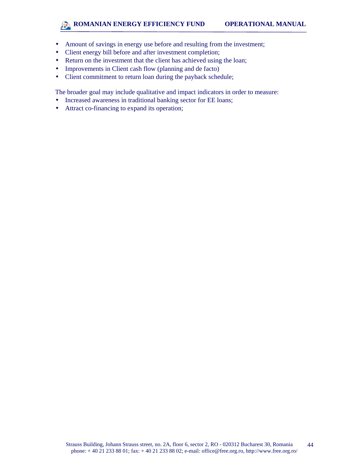## **ROMANIAN ENERGY EFFICIENCY FUND OPERATIONAL MANUAL**

- Amount of savings in energy use before and resulting from the investment;
- Client energy bill before and after investment completion;
- Return on the investment that the client has achieved using the loan;
- Improvements in Client cash flow (planning and de facto)
- Client commitment to return loan during the payback schedule;

The broader goal may include qualitative and impact indicators in order to measure:

- Increased awareness in traditional banking sector for EE loans;
- Attract co-financing to expand its operation;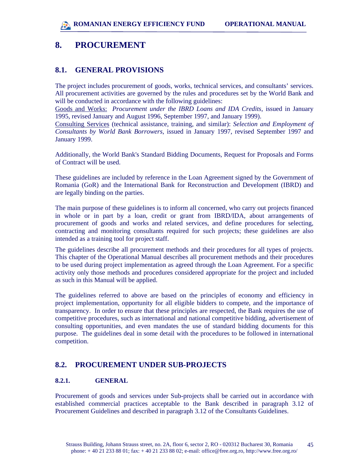# **8. PROCUREMENT**

## **8.1. GENERAL PROVISIONS**

The project includes procurement of goods, works, technical services, and consultants' services. All procurement activities are governed by the rules and procedures set by the World Bank and will be conducted in accordance with the following guidelines:

Goods and Works: *Procurement under the IBRD Loans and IDA Credits,* issued in January 1995, revised January and August 1996, September 1997, and January 1999).

Consulting Services (technical assistance, training, and similar): *Selection and Employment of Consultants by World Bank Borrowers*, issued in January 1997, revised September 1997 and January 1999.

Additionally, the World Bank's Standard Bidding Documents, Request for Proposals and Forms of Contract will be used.

These guidelines are included by reference in the Loan Agreement signed by the Government of Romania (GoR) and the International Bank for Reconstruction and Development (IBRD) and are legally binding on the parties.

The main purpose of these guidelines is to inform all concerned, who carry out projects financed in whole or in part by a loan, credit or grant from IBRD/IDA, about arrangements of procurement of goods and works and related services, and define procedures for selecting, contracting and monitoring consultants required for such projects; these guidelines are also intended as a training tool for project staff.

The guidelines describe all procurement methods and their procedures for all types of projects. This chapter of the Operational Manual describes all procurement methods and their procedures to be used during project implementation as agreed through the Loan Agreement. For a specific activity only those methods and procedures considered appropriate for the project and included as such in this Manual will be applied.

The guidelines referred to above are based on the principles of economy and efficiency in project implementation, opportunity for all eligible bidders to compete, and the importance of transparency. In order to ensure that these principles are respected, the Bank requires the use of competitive procedures, such as international and national competitive bidding, advertisement of consulting opportunities, and even mandates the use of standard bidding documents for this purpose. The guidelines deal in some detail with the procedures to be followed in international competition.

## **8.2. PROCUREMENT UNDER SUB-PROJECTS**

## **8.2.1. GENERAL**

Procurement of goods and services under Sub-projects shall be carried out in accordance with established commercial practices acceptable to the Bank described in paragraph 3.12 of Procurement Guidelines and described in paragraph 3.12 of the Consultants Guidelines.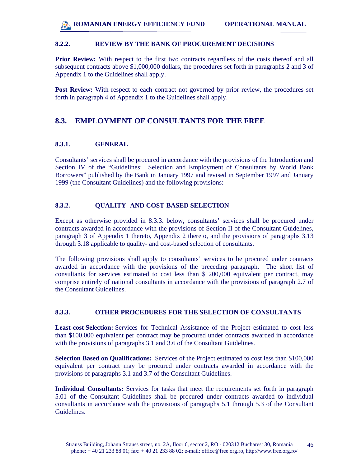#### **8.2.2. REVIEW BY THE BANK OF PROCUREMENT DECISIONS**

**Prior Review:** With respect to the first two contracts regardless of the costs thereof and all subsequent contracts above \$1,000,000 dollars, the procedures set forth in paragraphs 2 and 3 of Appendix 1 to the Guidelines shall apply.

**Post Review:** With respect to each contract not governed by prior review, the procedures set forth in paragraph 4 of Appendix 1 to the Guidelines shall apply.

## **8.3. EMPLOYMENT OF CONSULTANTS FOR THE FREE**

#### **8.3.1. GENERAL**

Consultants' services shall be procured in accordance with the provisions of the Introduction and Section IV of the "Guidelines: Selection and Employment of Consultants by World Bank Borrowers" published by the Bank in January 1997 and revised in September 1997 and January 1999 (the Consultant Guidelines) and the following provisions:

#### **8.3.2. QUALITY- AND COST-BASED SELECTION**

Except as otherwise provided in 8.3.3. below, consultants' services shall be procured under contracts awarded in accordance with the provisions of Section II of the Consultant Guidelines, paragraph 3 of Appendix 1 thereto, Appendix 2 thereto, and the provisions of paragraphs 3.13 through 3.18 applicable to quality- and cost-based selection of consultants.

The following provisions shall apply to consultants' services to be procured under contracts awarded in accordance with the provisions of the preceding paragraph. The short list of consultants for services estimated to cost less than \$ 200,000 equivalent per contract, may comprise entirely of national consultants in accordance with the provisions of paragraph 2.7 of the Consultant Guidelines.

#### **8.3.3. OTHER PROCEDURES FOR THE SELECTION OF CONSULTANTS**

**Least-cost Selection:** Services for Technical Assistance of the Project estimated to cost less than \$100,000 equivalent per contract may be procured under contracts awarded in accordance with the provisions of paragraphs 3.1 and 3.6 of the Consultant Guidelines.

**Selection Based on Qualifications:** Services of the Project estimated to cost less than \$100,000 equivalent per contract may be procured under contracts awarded in accordance with the provisions of paragraphs 3.1 and 3.7 of the Consultant Guidelines.

**Individual Consultants:** Services for tasks that meet the requirements set forth in paragraph 5.01 of the Consultant Guidelines shall be procured under contracts awarded to individual consultants in accordance with the provisions of paragraphs 5.1 through 5.3 of the Consultant Guidelines.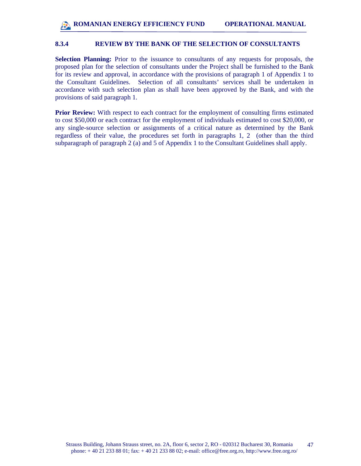#### **8.3.4 REVIEW BY THE BANK OF THE SELECTION OF CONSULTANTS**

**Selection Planning:** Prior to the issuance to consultants of any requests for proposals, the proposed plan for the selection of consultants under the Project shall be furnished to the Bank for its review and approval, in accordance with the provisions of paragraph 1 of Appendix 1 to the Consultant Guidelines. Selection of all consultants' services shall be undertaken in accordance with such selection plan as shall have been approved by the Bank, and with the provisions of said paragraph 1.

**Prior Review:** With respect to each contract for the employment of consulting firms estimated to cost \$50,000 or each contract for the employment of individuals estimated to cost \$20,000, or any single-source selection or assignments of a critical nature as determined by the Bank regardless of their value, the procedures set forth in paragraphs 1, 2 (other than the third subparagraph of paragraph 2 (a) and 5 of Appendix 1 to the Consultant Guidelines shall apply.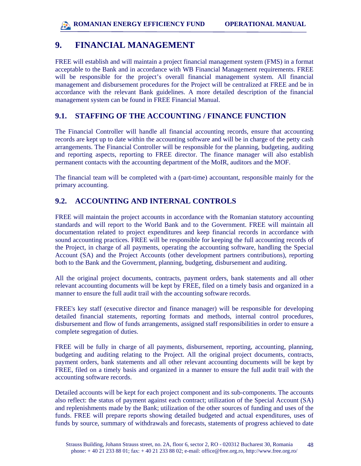## **9. FINANCIAL MANAGEMENT**

FREE will establish and will maintain a project financial management system (FMS) in a format acceptable to the Bank and in accordance with WB Financial Management requirements. FREE will be responsible for the project's overall financial management system. All financial management and disbursement procedures for the Project will be centralized at FREE and be in accordance with the relevant Bank guidelines. A more detailed description of the financial management system can be found in FREE Financial Manual.

## **9.1. STAFFING OF THE ACCOUNTING / FINANCE FUNCTION**

The Financial Controller will handle all financial accounting records, ensure that accounting records are kept up to date within the accounting software and will be in charge of the petty cash arrangements. The Financial Controller will be responsible for the planning, budgeting, auditing and reporting aspects, reporting to FREE director. The finance manager will also establish permanent contacts with the accounting department of the MoIR, auditors and the MOF.

The financial team will be completed with a (part-time) accountant, responsible mainly for the primary accounting.

## **9.2. ACCOUNTING AND INTERNAL CONTROLS**

FREE will maintain the project accounts in accordance with the Romanian statutory accounting standards and will report to the World Bank and to the Government. FREE will maintain all documentation related to project expenditures and keep financial records in accordance with sound accounting practices. FREE will be responsible for keeping the full accounting records of the Project, in charge of all payments, operating the accounting software, handling the Special Account (SA) and the Project Accounts (other development partners contributions), reporting both to the Bank and the Government, planning, budgeting, disbursement and auditing.

All the original project documents, contracts, payment orders, bank statements and all other relevant accounting documents will be kept by FREE, filed on a timely basis and organized in a manner to ensure the full audit trail with the accounting software records.

FREE's key staff (executive director and finance manager) will be responsible for developing detailed financial statements, reporting formats and methods, internal control procedures, disbursement and flow of funds arrangements, assigned staff responsibilities in order to ensure a complete segregation of duties.

FREE will be fully in charge of all payments, disbursement, reporting, accounting, planning, budgeting and auditing relating to the Project. All the original project documents, contracts, payment orders, bank statements and all other relevant accounting documents will be kept by FREE, filed on a timely basis and organized in a manner to ensure the full audit trail with the accounting software records.

Detailed accounts will be kept for each project component and its sub-components. The accounts also reflect: the status of payment against each contract; utilization of the Special Account (SA) and replenishments made by the Bank; utilization of the other sources of funding and uses of the funds. FREE will prepare reports showing detailed budgeted and actual expenditures, uses of funds by source, summary of withdrawals and forecasts, statements of progress achieved to date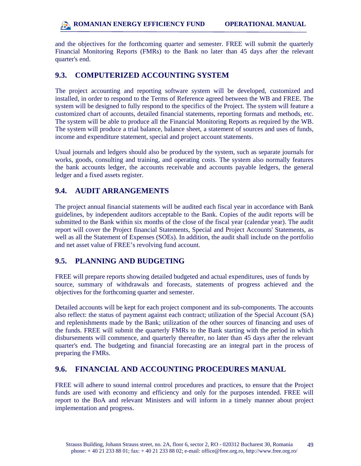and the objectives for the forthcoming quarter and semester. FREE will submit the quarterly Financial Monitoring Reports (FMRs) to the Bank no later than 45 days after the relevant quarter's end.

## **9.3. COMPUTERIZED ACCOUNTING SYSTEM**

The project accounting and reporting software system will be developed, customized and installed, in order to respond to the Terms of Reference agreed between the WB and FREE. The system will be designed to fully respond to the specifics of the Project. The system will feature a customized chart of accounts, detailed financial statements, reporting formats and methods, etc. The system will be able to produce all the Financial Monitoring Reports as required by the WB. The system will produce a trial balance, balance sheet, a statement of sources and uses of funds, income and expenditure statement, special and project account statements.

Usual journals and ledgers should also be produced by the system, such as separate journals for works, goods, consulting and training, and operating costs. The system also normally features the bank accounts ledger, the accounts receivable and accounts payable ledgers, the general ledger and a fixed assets register.

## **9.4. AUDIT ARRANGEMENTS**

The project annual financial statements will be audited each fiscal year in accordance with Bank guidelines, by independent auditors acceptable to the Bank. Copies of the audit reports will be submitted to the Bank within six months of the close of the fiscal year (calendar year). The audit report will cover the Project financial Statements, Special and Project Accounts' Statements, as well as all the Statement of Expenses (SOEs). In addition, the audit shall include on the portfolio and net asset value of FREE's revolving fund account.

## **9.5. PLANNING AND BUDGETING**

FREE will prepare reports showing detailed budgeted and actual expenditures, uses of funds by source, summary of withdrawals and forecasts, statements of progress achieved and the objectives for the forthcoming quarter and semester.

Detailed accounts will be kept for each project component and its sub-components. The accounts also reflect: the status of payment against each contract; utilization of the Special Account (SA) and replenishments made by the Bank; utilization of the other sources of financing and uses of the funds. FREE will submit the quarterly FMRs to the Bank starting with the period in which disbursements will commence, and quarterly thereafter, no later than 45 days after the relevant quarter's end. The budgeting and financial forecasting are an integral part in the process of preparing the FMRs.

## **9.6. FINANCIAL AND ACCOUNTING PROCEDURES MANUAL**

FREE will adhere to sound internal control procedures and practices, to ensure that the Project funds are used with economy and efficiency and only for the purposes intended. FREE will report to the BoA and relevant Ministers and will inform in a timely manner about project implementation and progress.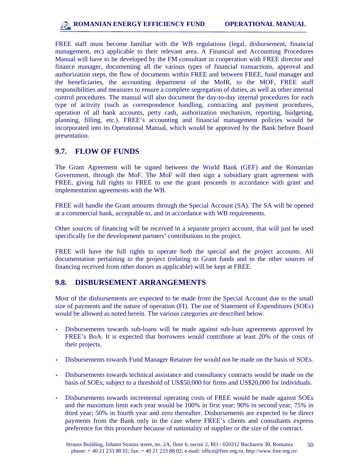FREE staff must become familiar with the WB regulations (legal, disbursement, financial management, etc) applicable to their relevant area. A Financial and Accounting Procedures Manual will have to be developed by the FM consultant in cooperation with FREE director and finance manager, documenting all the various types of financial transactions, approval and authorization steps, the flow of documents within FREE and between FREE, fund manager and the beneficiaries, the accounting department of the MoIR, to the MOF, FREE staff responsibilities and measures to ensure a complete segregation of duties, as well as other internal control procedures. The manual will also document the day-to-day internal procedures for each type of activity (such as correspondence handling, contracting and payment procedures, operation of all bank accounts, petty cash, authorization mechanism, reporting, budgeting, planning, filling, etc.). FREE's accounting and financial management policies would be incorporated into its Operational Manual, which would be approved by the Bank before Board presentation.

## **9.7. FLOW OF FUNDS**

The Grant Agreement will be signed between the World Bank (GEF) and the Romanian Government, through the MoF. The MoF will then sign a subsidiary grant agreement with FREE, giving full rights to FREE to use the grant proceeds in accordance with grant and implementation agreements with the WB.

FREE will handle the Grant amounts through the Special Account (SA). The SA will be opened at a commercial bank, acceptable to, and in accordance with WB requirements.

Other sources of financing will be received in a separate project account, that will just be used specifically for the development partners' contributions to the project.

FREE will have the full rights to operate both the special and the project accounts. All documentation pertaining to the project (relating to Grant funds and to the other sources of financing received from other donors as applicable) will be kept at FREE.

## **9.8. DISBURSEMENT ARRANGEMENTS**

Most of the disbursements are expected to be made from the Special Account due to the small size of payments and the nature of operation (FI). The use of Statement of Expenditures (SOEs) would be allowed as noted herein. The various categories are described below.

- Disbursements towards sub-loans will be made against sub-loan agreements approved by FREE's BoA. It is expected that borrowers would contribute at least 20% of the costs of their projects.
- Disbursements towards Fund Manager Retainer fee would not be made on the basis of SOEs.
- Disbursements towards technical assistance and consultancy contracts would be made on the basis of SOEs, subject to a threshold of US\$50,000 for firms and US\$20,000 for individuals.
- Disbursements towards incremental operating costs of FREE would be made against SOEs and the maximum limit each year would be 100% in first year; 90% in second year; 75% in third year; 50% in fourth year and zero thereafter. Disbursements are expected to be direct payments from the Bank only in the case where FREE's clients and consultants express preference for this procedure because of nationality of supplier or the size of the contract.

50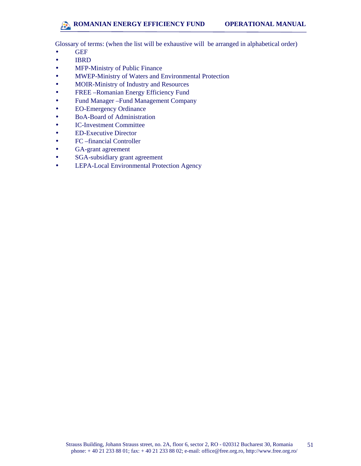## **ROMANIAN ENERGY EFFICIENCY FUND OPERATIONAL MANUAL**

Glossary of terms: (when the list will be exhaustive will be arranged in alphabetical order)

- GEF
- IBRD
- MFP-Ministry of Public Finance
- MWEP-Ministry of Waters and Environmental Protection
- MOIR-Ministry of Industry and Resources
- FREE –Romanian Energy Efficiency Fund
- Fund Manager –Fund Management Company
- EO-Emergency Ordinance
- BoA-Board of Administration
- IC-Investment Committee
- ED-Executive Director
- FC financial Controller
- GA-grant agreement
- SGA-subsidiary grant agreement
- LEPA-Local Environmental Protection Agency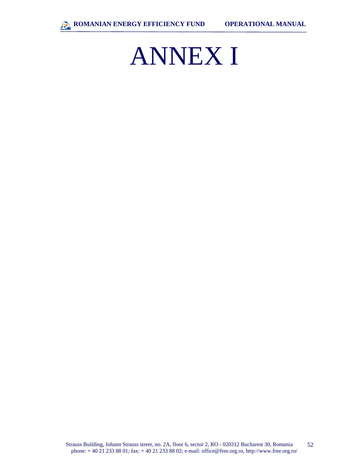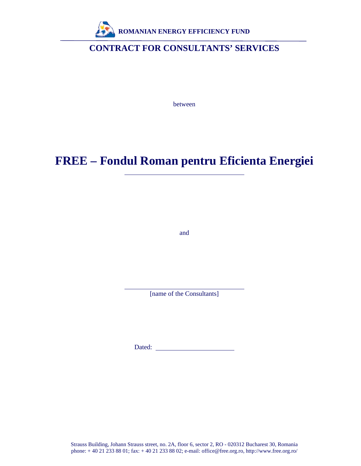

# **CONTRACT FOR CONSULTANTS' SERVICES**

between

# **FREE – Fondul Roman pentru Eficienta Energiei**

and

[name of the Consultants]

Dated: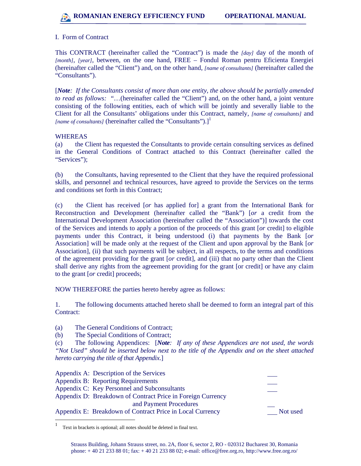#### I. Form of Contract

This CONTRACT (hereinafter called the "Contract") is made the *[day]* day of the month of *[month]*, *[year]*, between, on the one hand, FREE – Fondul Roman pentru Eficienta Energiei (hereinafter called the "Client") and, on the other hand, *[name of consultants]* (hereinafter called the "Consultants").

[*Note: If the Consultants consist of more than one entity, the above should be partially amended to read as follows:* "…(hereinafter called the "Client") and, on the other hand, a joint venture consisting of the following entities, each of which will be jointly and severally liable to the Client for all the Consultants' obligations under this Contract, namely, *[name of consultants]* and [name of consultants] (hereinafter called the "Consultants").]<sup>1</sup>

#### WHEREAS

(a) the Client has requested the Consultants to provide certain consulting services as defined in the General Conditions of Contract attached to this Contract (hereinafter called the "Services");

(b) the Consultants, having represented to the Client that they have the required professional skills, and personnel and technical resources, have agreed to provide the Services on the terms and conditions set forth in this Contract;

(c) the Client has received [*or* has applied for] a grant from the International Bank for Reconstruction and Development (hereinafter called the "Bank") [*or* a credit from the International Development Association (hereinafter called the "Association")] towards the cost of the Services and intends to apply a portion of the proceeds of this grant [*or* credit] to eligible payments under this Contract, it being understood (i) that payments by the Bank [*or* Association] will be made only at the request of the Client and upon approval by the Bank [*or* Association], (ii) that such payments will be subject, in all respects, to the terms and conditions of the agreement providing for the grant [*or* credit], and (iii) that no party other than the Client shall derive any rights from the agreement providing for the grant [or credit] or have any claim to the grant [*or* credit] proceeds;

NOW THEREFORE the parties hereto hereby agree as follows:

1. The following documents attached hereto shall be deemed to form an integral part of this Contract:

(a) The General Conditions of Contract;

(b) The Special Conditions of Contract;

(c) The following Appendices: [*Note: If any of these Appendices are not used, the words "Not Used" should be inserted below next to the title of the Appendix and on the sheet attached hereto carrying the title of that Appendix*.]

| Appendix A: Description of the Services                     |          |
|-------------------------------------------------------------|----------|
| Appendix B: Reporting Requirements                          |          |
| Appendix C: Key Personnel and Subconsultants                |          |
| Appendix D: Breakdown of Contract Price in Foreign Currency |          |
| and Payment Procedures                                      |          |
| Appendix E: Breakdown of Contract Price in Local Currency   | Not used |

 $\frac{1}{1}$ Text in brackets is optional; all notes should be deleted in final text.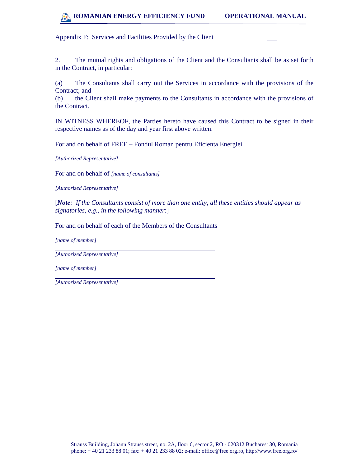## **ROMANIAN ENERGY EFFICIENCY FUND OPERATIONAL MANUAL**

Appendix F: Services and Facilities Provided by the Client

2. The mutual rights and obligations of the Client and the Consultants shall be as set forth in the Contract, in particular:

(a) The Consultants shall carry out the Services in accordance with the provisions of the Contract; and

(b) the Client shall make payments to the Consultants in accordance with the provisions of the Contract.

IN WITNESS WHEREOF, the Parties hereto have caused this Contract to be signed in their respective names as of the day and year first above written.

For and on behalf of FREE – Fondul Roman pentru Eficienta Energiei

*[Authorized Representative]*

For and on behalf of *[name of consultants]*

*[Authorized Representative]*

[*Note: If the Consultants consist of more than one entity, all these entities should appear as signatories, e.g., in the following manner*:]

For and on behalf of each of the Members of the Consultants

*[name of member]*

*[Authorized Representative]*

*[name of member]*

*[Authorized Representative]*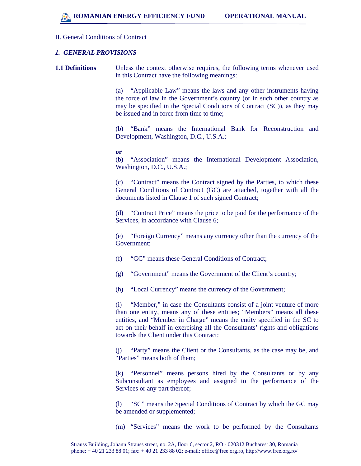#### II. General Conditions of Contract

#### *1. GENERAL PROVISIONS*

**1.1 Definitions** Unless the context otherwise requires, the following terms whenever used in this Contract have the following meanings:

> (a) "Applicable Law" means the laws and any other instruments having the force of law in the Government's country (or in such other country as may be specified in the Special Conditions of Contract (SC)), as they may be issued and in force from time to time;

> (b) "Bank" means the International Bank for Reconstruction and Development, Washington, D.C., U.S.A.;

**or** 

(b) "Association" means the International Development Association, Washington, D.C., U.S.A.;

(c) "Contract" means the Contract signed by the Parties, to which these General Conditions of Contract (GC) are attached, together with all the documents listed in Clause 1 of such signed Contract;

(d) "Contract Price" means the price to be paid for the performance of the Services, in accordance with Clause 6;

(e) "Foreign Currency" means any currency other than the currency of the Government;

(f) "GC" means these General Conditions of Contract;

(g) "Government" means the Government of the Client's country;

(h) "Local Currency" means the currency of the Government;

(i) "Member," in case the Consultants consist of a joint venture of more than one entity, means any of these entities; "Members" means all these entities, and "Member in Charge" means the entity specified in the SC to act on their behalf in exercising all the Consultants' rights and obligations towards the Client under this Contract;

(j) "Party" means the Client or the Consultants, as the case may be, and "Parties" means both of them;

(k) "Personnel" means persons hired by the Consultants or by any Subconsultant as employees and assigned to the performance of the Services or any part thereof;

(l) "SC" means the Special Conditions of Contract by which the GC may be amended or supplemented;

(m) "Services" means the work to be performed by the Consultants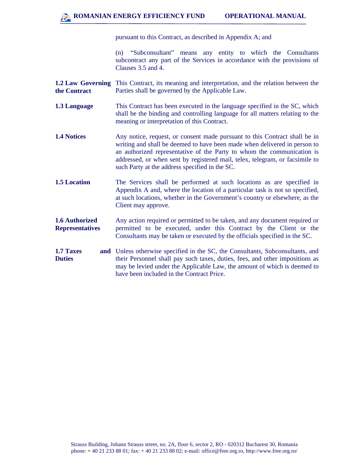pursuant to this Contract, as described in Appendix A; and

(n) "Subconsultant" means any entity to which the Consultants subcontract any part of the Services in accordance with the provisions of Clauses 3.5 and 4.

**1.2 Law Governing**  This Contract, its meaning and interpretation, and the relation between the **the Contract**  Parties shall be governed by the Applicable Law.

- **1.3 Language** This Contract has been executed in the language specified in the SC, which shall be the binding and controlling language for all matters relating to the meaning or interpretation of this Contract.
- **1.4 Notices** Any notice, request, or consent made pursuant to this Contract shall be in writing and shall be deemed to have been made when delivered in person to an authorized representative of the Party to whom the communication is addressed, or when sent by registered mail, telex, telegram, or facsimile to such Party at the address specified in the SC.
- **1.5 Location** The Services shall be performed at such locations as are specified in Appendix A and, where the location of a particular task is not so specified, at such locations, whether in the Government's country or elsewhere, as the Client may approve.
- **1.6 Authorized Representatives**  Any action required or permitted to be taken, and any document required or permitted to be executed, under this Contract by the Client or the Consultants may be taken or executed by the officials specified in the SC.
- **1.7 Taxes Duties**  Unless otherwise specified in the SC, the Consultants, Subconsultants, and their Personnel shall pay such taxes, duties, fees, and other impositions as may be levied under the Applicable Law, the amount of which is deemed to have been included in the Contract Price.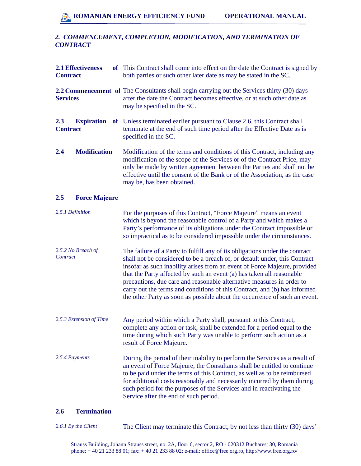## *2. COMMENCEMENT, COMPLETION, MODIFICATION, AND TERMINATION OF CONTRACT*

| <b>2.1 Effectiveness</b><br><b>Contract</b> | of This Contract shall come into effect on the date the Contract is signed by<br>both parties or such other later date as may be stated in the SC.                                                                                                                                                                                                                                                                                                                                                                                                  |
|---------------------------------------------|-----------------------------------------------------------------------------------------------------------------------------------------------------------------------------------------------------------------------------------------------------------------------------------------------------------------------------------------------------------------------------------------------------------------------------------------------------------------------------------------------------------------------------------------------------|
| <b>Services</b>                             | 2.2 Commencement of The Consultants shall begin carrying out the Services thirty (30) days<br>after the date the Contract becomes effective, or at such other date as<br>may be specified in the SC.                                                                                                                                                                                                                                                                                                                                                |
| 2.3<br><b>Contract</b>                      | <b>Expiration</b> of Unless terminated earlier pursuant to Clause 2.6, this Contract shall<br>terminate at the end of such time period after the Effective Date as is<br>specified in the SC.                                                                                                                                                                                                                                                                                                                                                       |
| <b>Modification</b><br>2.4                  | Modification of the terms and conditions of this Contract, including any<br>modification of the scope of the Services or of the Contract Price, may<br>only be made by written agreement between the Parties and shall not be<br>effective until the consent of the Bank or of the Association, as the case<br>may be, has been obtained.                                                                                                                                                                                                           |
| 2.5<br><b>Force Majeure</b>                 |                                                                                                                                                                                                                                                                                                                                                                                                                                                                                                                                                     |
| 2.5.1 Definition                            | For the purposes of this Contract, "Force Majeure" means an event<br>which is beyond the reasonable control of a Party and which makes a<br>Party's performance of its obligations under the Contract impossible or<br>so impractical as to be considered impossible under the circumstances.                                                                                                                                                                                                                                                       |
| 2.5.2 No Breach of<br>Contract              | The failure of a Party to fulfill any of its obligations under the contract<br>shall not be considered to be a breach of, or default under, this Contract<br>insofar as such inability arises from an event of Force Majeure, provided<br>that the Party affected by such an event (a) has taken all reasonable<br>precautions, due care and reasonable alternative measures in order to<br>carry out the terms and conditions of this Contract, and (b) has informed<br>the other Party as soon as possible about the occurrence of such an event. |
| 2.5.3 Extension of Time                     | Any period within which a Party shall, pursuant to this Contract,<br>complete any action or task, shall be extended for a period equal to the<br>time during which such Party was unable to perform such action as a<br>result of Force Majeure.                                                                                                                                                                                                                                                                                                    |
| 2.5.4 Payments                              | During the period of their inability to perform the Services as a result of<br>an event of Force Majeure, the Consultants shall be entitled to continue<br>to be paid under the terms of this Contract, as well as to be reimbursed<br>for additional costs reasonably and necessarily incurred by them during<br>such period for the purposes of the Services and in reactivating the<br>Service after the end of such period.                                                                                                                     |

#### **2.6 Termination**

*2.6.1 By the Client* The Client may terminate this Contract, by not less than thirty (30) days'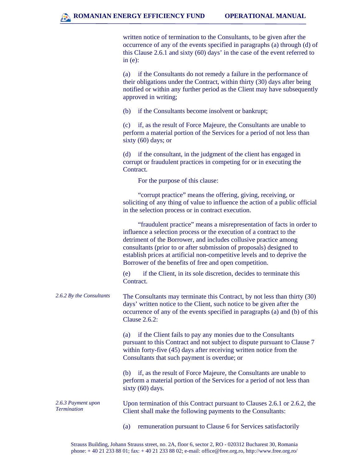written notice of termination to the Consultants, to be given after the occurrence of any of the events specified in paragraphs (a) through (d) of this Clause 2.6.1 and sixty (60) days' in the case of the event referred to in  $(e)$ :

(a) if the Consultants do not remedy a failure in the performance of their obligations under the Contract, within thirty (30) days after being notified or within any further period as the Client may have subsequently approved in writing;

(b) if the Consultants become insolvent or bankrupt;

(c) if, as the result of Force Majeure, the Consultants are unable to perform a material portion of the Services for a period of not less than sixty (60) days; or

(d) if the consultant, in the judgment of the client has engaged in corrupt or fraudulent practices in competing for or in executing the **Contract** 

For the purpose of this clause:

 "corrupt practice" means the offering, giving, receiving, or soliciting of any thing of value to influence the action of a public official in the selection process or in contract execution.

 "fraudulent practice" means a misrepresentation of facts in order to influence a selection process or the execution of a contract to the detriment of the Borrower, and includes collusive practice among consultants (prior to or after submission of proposals) designed to establish prices at artificial non-competitive levels and to deprive the Borrower of the benefits of free and open competition.

(e) if the Client, in its sole discretion, decides to terminate this Contract.

| 2.6.2 By the Consultants | The Consultants may terminate this Contract, by not less than thirty (30)   |
|--------------------------|-----------------------------------------------------------------------------|
|                          | days' written notice to the Client, such notice to be given after the       |
|                          | occurrence of any of the events specified in paragraphs (a) and (b) of this |
|                          | Clause $2.6.2$ :                                                            |

(a) if the Client fails to pay any monies due to the Consultants pursuant to this Contract and not subject to dispute pursuant to Clause 7 within forty-five (45) days after receiving written notice from the Consultants that such payment is overdue; or

(b) if, as the result of Force Majeure, the Consultants are unable to perform a material portion of the Services for a period of not less than sixty (60) days.

*2.6.3 Payment upon Termination*  Upon termination of this Contract pursuant to Clauses 2.6.1 or 2.6.2, the Client shall make the following payments to the Consultants:

(a) remuneration pursuant to Clause 6 for Services satisfactorily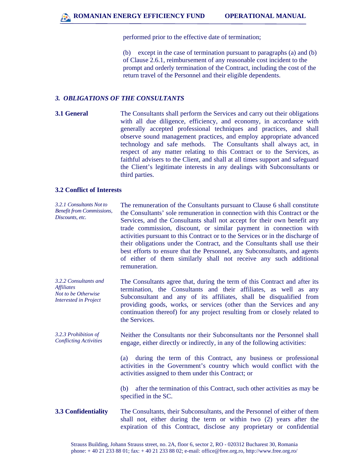performed prior to the effective date of termination;

(b) except in the case of termination pursuant to paragraphs (a) and (b) of Clause 2.6.1, reimbursement of any reasonable cost incident to the prompt and orderly termination of the Contract, including the cost of the return travel of the Personnel and their eligible dependents.

#### *3. OBLIGATIONS OF THE CONSULTANTS*

**3.1 General The Consultants shall perform the Services and carry out their obligations** with all due diligence, efficiency, and economy, in accordance with generally accepted professional techniques and practices, and shall observe sound management practices, and employ appropriate advanced technology and safe methods. The Consultants shall always act, in respect of any matter relating to this Contract or to the Services, as faithful advisers to the Client, and shall at all times support and safeguard the Client's legitimate interests in any dealings with Subconsultants or third parties.

#### **3.2 Conflict of Interests**

*3.2.1 Consultants Not to Benefit from Commissions, Discounts, etc.*  The remuneration of the Consultants pursuant to Clause 6 shall constitute the Consultants' sole remuneration in connection with this Contract or the Services, and the Consultants shall not accept for their own benefit any trade commission, discount, or similar payment in connection with activities pursuant to this Contract or to the Services or in the discharge of their obligations under the Contract, and the Consultants shall use their best efforts to ensure that the Personnel, any Subconsultants, and agents of either of them similarly shall not receive any such additional remuneration.

- *3.2.2 Consultants and Affiliates Not to be Otherwise Interested in Project*  The Consultants agree that, during the term of this Contract and after its termination, the Consultants and their affiliates, as well as any Subconsultant and any of its affiliates, shall be disqualified from providing goods, works, or services (other than the Services and any continuation thereof) for any project resulting from or closely related to the Services.
- *3.2.3 Prohibition of Conflicting Activities*  Neither the Consultants nor their Subconsultants nor the Personnel shall engage, either directly or indirectly, in any of the following activities:

(a) during the term of this Contract, any business or professional activities in the Government's country which would conflict with the activities assigned to them under this Contract; or

(b) after the termination of this Contract, such other activities as may be specified in the SC.

**3.3 Confidentiality** The Consultants, their Subconsultants, and the Personnel of either of them shall not, either during the term or within two (2) years after the expiration of this Contract, disclose any proprietary or confidential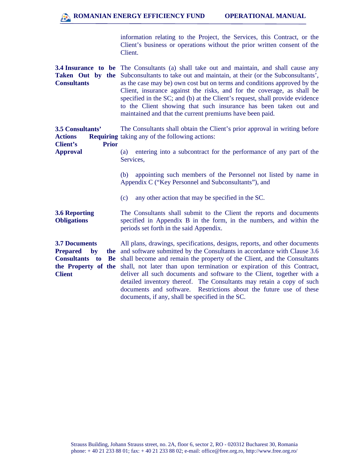information relating to the Project, the Services, this Contract, or the Client's business or operations without the prior written consent of the Client.

**3.4 Insurance to be**  The Consultants (a) shall take out and maintain, and shall cause any Taken Out by the Subconsultants to take out and maintain, at their (or the Subconsultants', **Consultants**  as the case may be) own cost but on terms and conditions approved by the Client, insurance against the risks, and for the coverage, as shall be specified in the SC; and (b) at the Client's request, shall provide evidence to the Client showing that such insurance has been taken out and maintained and that the current premiums have been paid.

**3.5 Consultants'**  Actions Requiring taking any of the following actions: **Client's Prior**  The Consultants shall obtain the Client's prior approval in writing before

**Approval**  (a) entering into a subcontract for the performance of any part of the Services,

> (b) appointing such members of the Personnel not listed by name in Appendix C ("Key Personnel and Subconsultants"), and

(c) any other action that may be specified in the SC.

**3.6 Reporting Obligations**  The Consultants shall submit to the Client the reports and documents specified in Appendix B in the form, in the numbers, and within the periods set forth in the said Appendix.

**3.7 Documents Prepared** by **Consultants to Be**  shall become and remain the property of the Client, and the Consultants **the Property of the**  shall, not later than upon termination or expiration of this Contract, **Client**  All plans, drawings, specifications, designs, reports, and other documents and software submitted by the Consultants in accordance with Clause 3.6 deliver all such documents and software to the Client, together with a detailed inventory thereof. The Consultants may retain a copy of such documents and software. Restrictions about the future use of these documents, if any, shall be specified in the SC.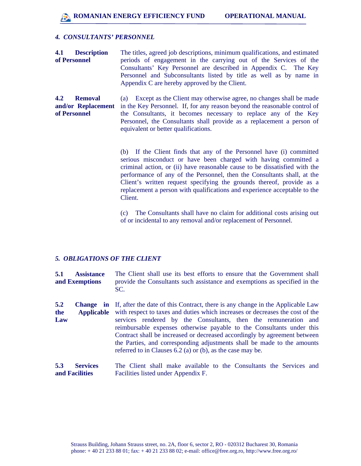#### *4. CONSULTANTS' PERSONNEL*

| 4.1<br><b>Description</b> | The titles, agreed job descriptions, minimum qualifications, and estimated |
|---------------------------|----------------------------------------------------------------------------|
| of Personnel              | periods of engagement in the carrying out of the Services of the           |
|                           | Consultants' Key Personnel are described in Appendix C. The Key            |
|                           | Personnel and Subconsultants listed by title as well as by name in         |
|                           | Appendix C are hereby approved by the Client.                              |

**4.2 Removal and/or Replacement of Personnel**  (a) Except as the Client may otherwise agree, no changes shall be made in the Key Personnel. If, for any reason beyond the reasonable control of the Consultants, it becomes necessary to replace any of the Key Personnel, the Consultants shall provide as a replacement a person of equivalent or better qualifications.

> (b) If the Client finds that any of the Personnel have (i) committed serious misconduct or have been charged with having committed a criminal action, or (ii) have reasonable cause to be dissatisfied with the performance of any of the Personnel, then the Consultants shall, at the Client's written request specifying the grounds thereof, provide as a replacement a person with qualifications and experience acceptable to the Client.

> (c) The Consultants shall have no claim for additional costs arising out of or incidental to any removal and/or replacement of Personnel.

#### *5. OBLIGATIONS OF THE CLIENT*

**5.1 Assistance and Exemptions**  The Client shall use its best efforts to ensure that the Government shall provide the Consultants such assistance and exemptions as specified in the SC.

**5.2** Change in If, after the date of this Contract, there is any change in the Applicable Law **the Applicable**  with respect to taxes and duties which increases or decreases the cost of the **Law**  services rendered by the Consultants, then the remuneration and reimbursable expenses otherwise payable to the Consultants under this Contract shall be increased or decreased accordingly by agreement between the Parties, and corresponding adjustments shall be made to the amounts referred to in Clauses 6.2 (a) or (b), as the case may be.

**5.3 Services and Facilities**  The Client shall make available to the Consultants the Services and Facilities listed under Appendix F.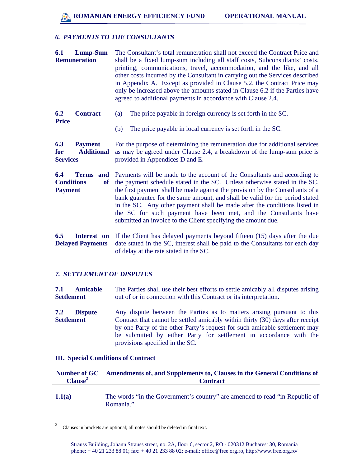#### *6. PAYMENTS TO THE CONSULTANTS*

| 6.1<br><b>Lump-Sum</b><br><b>Remuneration</b>                               | The Consultant's total remuneration shall not exceed the Contract Price and<br>shall be a fixed lump-sum including all staff costs, Subconsultants' costs,<br>printing, communications, travel, accommodation, and the like, and all<br>other costs incurred by the Consultant in carrying out the Services described<br>in Appendix A. Except as provided in Clause 5.2, the Contract Price may<br>only be increased above the amounts stated in Clause 6.2 if the Parties have<br>agreed to additional payments in accordance with Clause 2.4. |
|-----------------------------------------------------------------------------|--------------------------------------------------------------------------------------------------------------------------------------------------------------------------------------------------------------------------------------------------------------------------------------------------------------------------------------------------------------------------------------------------------------------------------------------------------------------------------------------------------------------------------------------------|
| 6.2<br><b>Contract</b><br><b>Price</b>                                      | The price payable in foreign currency is set forth in the SC.<br>(a)                                                                                                                                                                                                                                                                                                                                                                                                                                                                             |
|                                                                             | The price payable in local currency is set forth in the SC.<br>(b)                                                                                                                                                                                                                                                                                                                                                                                                                                                                               |
| 6.3<br><b>Payment</b><br><b>Additional</b><br>for<br><b>Services</b>        | For the purpose of determining the remuneration due for additional services<br>as may be agreed under Clause 2.4, a breakdown of the lump-sum price is<br>provided in Appendices D and E.                                                                                                                                                                                                                                                                                                                                                        |
| 6.4<br><b>Terms</b> and<br><b>Conditions</b><br><b>of</b><br><b>Payment</b> | Payments will be made to the account of the Consultants and according to<br>the payment schedule stated in the SC. Unless otherwise stated in the SC,<br>the first payment shall be made against the provision by the Consultants of a<br>bank guarantee for the same amount, and shall be valid for the period stated<br>in the SC. Any other payment shall be made after the conditions listed in<br>the SC for such payment have been met, and the Consultants have<br>submitted an invoice to the Client specifying the amount due.          |
| 6.5<br>Interest on<br><b>Delayed Payments</b>                               | If the Client has delayed payments beyond fifteen (15) days after the due<br>date stated in the SC, interest shall be paid to the Consultants for each day<br>of delay at the rate stated in the SC.                                                                                                                                                                                                                                                                                                                                             |

#### *7. SETTLEMENT OF DISPUTES*

**7.1 Amicable Settlement**  The Parties shall use their best efforts to settle amicably all disputes arising out of or in connection with this Contract or its interpretation.

**7.2 Dispute Settlement**  Any dispute between the Parties as to matters arising pursuant to this Contract that cannot be settled amicably within thirty (30) days after receipt by one Party of the other Party's request for such amicable settlement may be submitted by either Party for settlement in accordance with the provisions specified in the SC.

## **III. Special Conditions of Contract**

| Clause <sup>2</sup> | Number of GC Amendments of, and Supplements to, Clauses in the General Conditions of<br><b>Contract</b> |
|---------------------|---------------------------------------------------------------------------------------------------------|
| 1.1(a)              | The words "in the Government's country" are amended to read "in Republic of"<br>Romania."               |

 $\frac{1}{2}$ Clauses in brackets are optional; all notes should be deleted in final text.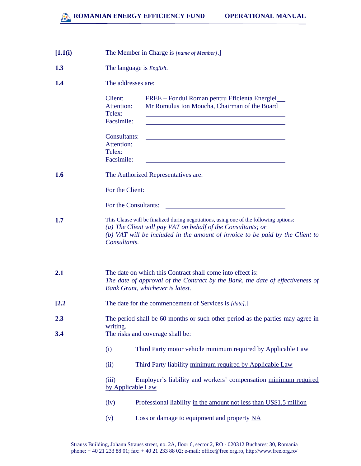| [1.1(i)]        | The Member in Charge is [name of Member].]                                                                                                                                                                                                                             |
|-----------------|------------------------------------------------------------------------------------------------------------------------------------------------------------------------------------------------------------------------------------------------------------------------|
| 1.3             | The language is <i>English</i> .                                                                                                                                                                                                                                       |
| 1.4             | The addresses are:                                                                                                                                                                                                                                                     |
|                 | Client:<br>FREE - Fondul Roman pentru Eficienta Energiei<br>Mr Romulus Ion Moucha, Chairman of the Board_<br>Attention:<br>Telex:<br><u> 1989 - Johann Barbara, martxa alemaniar argumento este alemaniar alemaniar alemaniar alemaniar alemaniar al</u><br>Facsimile: |
|                 | Consultants:<br>Attention:<br>Telex:<br>Facsimile:                                                                                                                                                                                                                     |
| 1.6             | The Authorized Representatives are:                                                                                                                                                                                                                                    |
|                 | For the Client:                                                                                                                                                                                                                                                        |
|                 | For the Consultants:                                                                                                                                                                                                                                                   |
| 1.7             | This Clause will be finalized during negotiations, using one of the following options:<br>(a) The Client will pay VAT on behalf of the Consultants; or<br>(b) VAT will be included in the amount of invoice to be paid by the Client to<br>Consultants.                |
| 2.1             | The date on which this Contract shall come into effect is:<br>The date of approval of the Contract by the Bank, the date of effectiveness of<br>Bank Grant, whichever is latest.                                                                                       |
| $\mathbf{I}2.2$ | The date for the commencement of Services is [date].]                                                                                                                                                                                                                  |
| 2.3             | The period shall be 60 months or such other period as the parties may agree in                                                                                                                                                                                         |
| 3.4             | writing.<br>The risks and coverage shall be:                                                                                                                                                                                                                           |
|                 | Third Party motor vehicle minimum required by Applicable Law<br>(i)                                                                                                                                                                                                    |
|                 | Third Party liability minimum required by Applicable Law<br>(ii)                                                                                                                                                                                                       |
|                 | (iii)<br>Employer's liability and workers' compensation minimum required<br>by Applicable Law                                                                                                                                                                          |
|                 | (iv)<br>Professional liability in the amount not less than US\$1.5 million                                                                                                                                                                                             |
|                 | Loss or damage to equipment and property NA<br>(v)                                                                                                                                                                                                                     |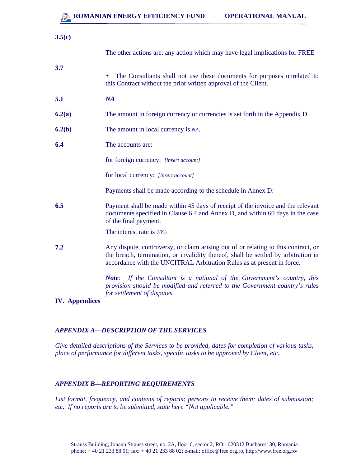| 3.5(c) |                                                                                                                                                                                                                                                    |  |  |
|--------|----------------------------------------------------------------------------------------------------------------------------------------------------------------------------------------------------------------------------------------------------|--|--|
|        | The other actions are: any action which may have legal implications for FREE                                                                                                                                                                       |  |  |
| 3.7    | The Consultants shall not use these documents for purposes unrelated to<br>this Contract without the prior written approval of the Client.                                                                                                         |  |  |
| 5.1    | NA                                                                                                                                                                                                                                                 |  |  |
| 6.2(a) | The amount in foreign currency or currencies is set forth in the Appendix D.                                                                                                                                                                       |  |  |
| 6.2(b) | The amount in local currency is NA.                                                                                                                                                                                                                |  |  |
| 6.4    | The accounts are:                                                                                                                                                                                                                                  |  |  |
|        | for foreign currency: [insert account]                                                                                                                                                                                                             |  |  |
|        | for local currency: [insert account]                                                                                                                                                                                                               |  |  |
|        | Payments shall be made according to the schedule in Annex D:                                                                                                                                                                                       |  |  |
| 6.5    | Payment shall be made within 45 days of receipt of the invoice and the relevant<br>documents specified in Clause 6.4 and Annex D, and within 60 days in the case<br>of the final payment.                                                          |  |  |
|        | The interest rate is 10%                                                                                                                                                                                                                           |  |  |
| 7.2    | Any dispute, controversy, or claim arising out of or relating to this contract, or<br>the breach, termination, or invalidity thereof, shall be settled by arbitration in<br>accordance with the UNCITRAL Arbitration Rules as at present in force. |  |  |
|        | Note: If the Consultant is a national of the Government's country, this<br>provision should be modified and referred to the Government country's rules<br>for settlement of disputes.                                                              |  |  |

**IV. Appendices** 

#### *APPENDIX A—DESCRIPTION OF THE SERVICES*

*Give detailed descriptions of the Services to be provided, dates for completion of various tasks, place of performance for different tasks, specific tasks to be approved by Client, etc.* 

#### *APPENDIX B—REPORTING REQUIREMENTS*

*List format, frequency, and contents of reports; persons to receive them; dates of submission; etc. If no reports are to be submitted, state here "Not applicable."*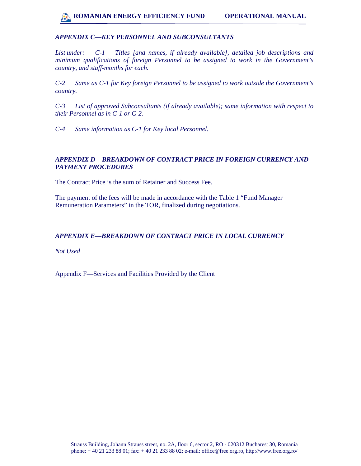#### *APPENDIX C—KEY PERSONNEL AND SUBCONSULTANTS*

*List under: C-1 Titles [and names, if already available], detailed job descriptions and minimum qualifications of foreign Personnel to be assigned to work in the Government's country, and staff-months for each.* 

*C-2 Same as C-1 for Key foreign Personnel to be assigned to work outside the Government's country.* 

*C-3 List of approved Subconsultants (if already available); same information with respect to their Personnel as in C-1 or C-2.* 

*C-4 Same information as C-1 for Key local Personnel.* 

#### *APPENDIX D—BREAKDOWN OF CONTRACT PRICE IN FOREIGN CURRENCY AND PAYMENT PROCEDURES*

The Contract Price is the sum of Retainer and Success Fee.

The payment of the fees will be made in accordance with the Table 1 "Fund Manager Remuneration Parameters" in the TOR, finalized during negotiations.

#### *APPENDIX E—BREAKDOWN OF CONTRACT PRICE IN LOCAL CURRENCY*

*Not Used*

Appendix F—Services and Facilities Provided by the Client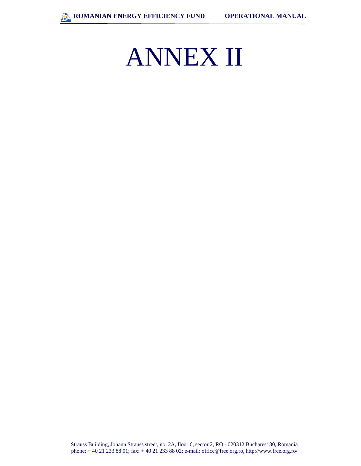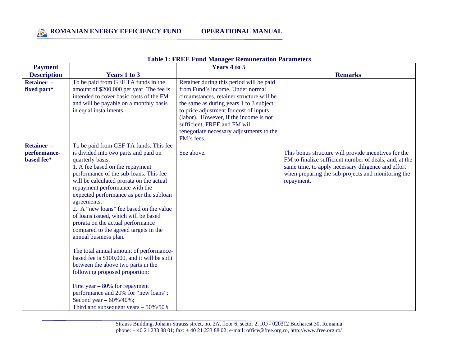| <b>Payment</b>                           |                                                                                                                                                                                                                                                                                                                                                                                                                                                                                                                                                                                                                                                                                                                                                                                                                                            | Years 4 to 5                                                                                                                                                                                                                                                                                                                                       |                                                                                                                                                                                                                                          |
|------------------------------------------|--------------------------------------------------------------------------------------------------------------------------------------------------------------------------------------------------------------------------------------------------------------------------------------------------------------------------------------------------------------------------------------------------------------------------------------------------------------------------------------------------------------------------------------------------------------------------------------------------------------------------------------------------------------------------------------------------------------------------------------------------------------------------------------------------------------------------------------------|----------------------------------------------------------------------------------------------------------------------------------------------------------------------------------------------------------------------------------------------------------------------------------------------------------------------------------------------------|------------------------------------------------------------------------------------------------------------------------------------------------------------------------------------------------------------------------------------------|
| <b>Description</b>                       | <b>Years 1 to 3</b>                                                                                                                                                                                                                                                                                                                                                                                                                                                                                                                                                                                                                                                                                                                                                                                                                        |                                                                                                                                                                                                                                                                                                                                                    | <b>Remarks</b>                                                                                                                                                                                                                           |
| Retainer -<br>fixed part*                | To be paid from GEF TA funds in the<br>amount of \$200,000 per year. The fee is<br>intended to cover basic costs of the FM<br>and will be payable on a monthly basis<br>in equal installments.                                                                                                                                                                                                                                                                                                                                                                                                                                                                                                                                                                                                                                             | Retainer during this period will be paid<br>from Fund's income. Under normal<br>circumstances, retainer structure will be<br>the same as during years 1 to 3 subject<br>to price adjustment for cost of inputs<br>(labor). However, if the income is not<br>sufficient, FREE and FM will<br>renegotiate necessary adjustments to the<br>FM's fees. |                                                                                                                                                                                                                                          |
| Retainer –<br>performance-<br>based fee* | To be paid from GEF TA funds. This fee<br>is divided into two parts and paid on<br>quarterly basis:<br>1. A fee based on the repayment<br>performance of the sub-loans. This fee<br>will be calculated prorata on the actual<br>repayment performance with the<br>expected performance as per the subloan<br>agreements.<br>2. A "new loans" fee based on the value<br>of loans issued, which will be based<br>prorata on the actual performance<br>compared to the agreed targets in the<br>annual business plan.<br>The total annual amount of performance-<br>based fee is \$100,000, and it will be split<br>between the above two parts in the<br>following proposed proportion:<br>First year $-80\%$ for repayment<br>performance and 20% for "new loans";<br>Second year $-60\%/40\%$ ;<br>Third and subsequent years $-50\%/50\%$ | See above.                                                                                                                                                                                                                                                                                                                                         | This bonus structure will provide incentives for the<br>FM to finalize sufficient number of deals, and, at the<br>same time, to apply necessary diligence and effort<br>when preparing the sub-projects and monitoring the<br>repayment. |

#### **Table 1: FREE Fund Manager Remuneration Parameters**